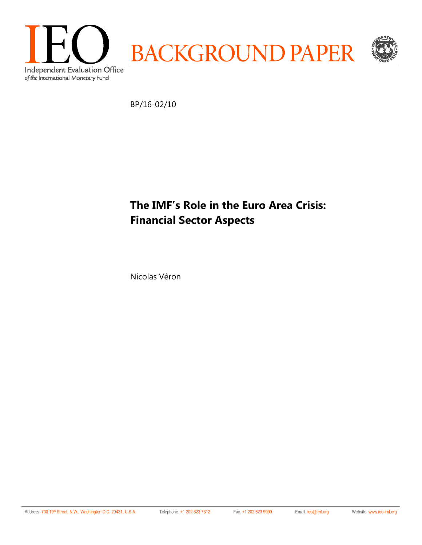

BP/16-02/10

# **The IMF's Role in the Euro Area Crisis: Financial Sector Aspects**

Nicolas Véron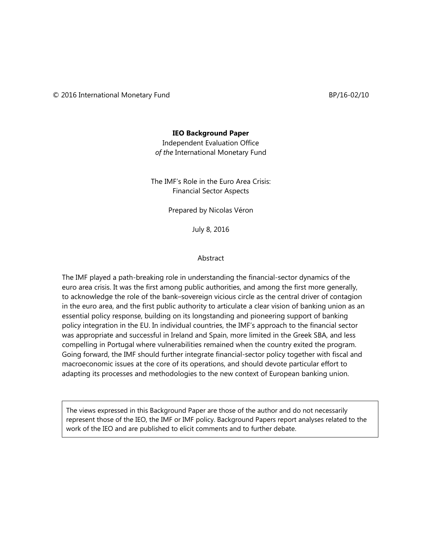#### **IEO Background Paper**

Independent Evaluation Office *of the* International Monetary Fund

The IMF's Role in the Euro Area Crisis: Financial Sector Aspects

Prepared by Nicolas Véron

July 8, 2016

#### Abstract

The IMF played a path-breaking role in understanding the financial-sector dynamics of the euro area crisis. It was the first among public authorities, and among the first more generally, to acknowledge the role of the bank–sovereign vicious circle as the central driver of contagion in the euro area, and the first public authority to articulate a clear vision of banking union as an essential policy response, building on its longstanding and pioneering support of banking policy integration in the EU. In individual countries, the IMF's approach to the financial sector was appropriate and successful in Ireland and Spain, more limited in the Greek SBA, and less compelling in Portugal where vulnerabilities remained when the country exited the program. Going forward, the IMF should further integrate financial-sector policy together with fiscal and macroeconomic issues at the core of its operations, and should devote particular effort to adapting its processes and methodologies to the new context of European banking union.

The views expressed in this Background Paper are those of the author and do not necessarily represent those of the IEO, the IMF or IMF policy. Background Papers report analyses related to the work of the IEO and are published to elicit comments and to further debate.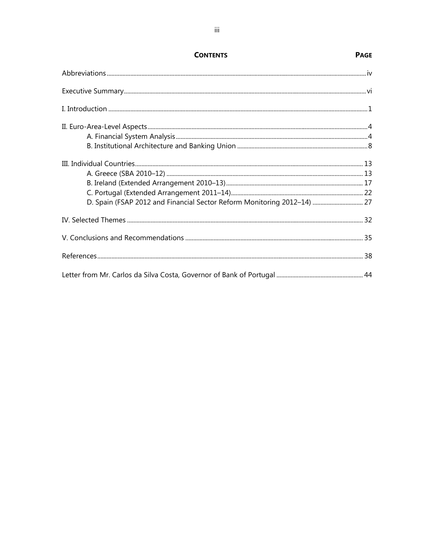| D. Spain (FSAP 2012 and Financial Sector Reform Monitoring 2012-14)  27 |  |
|-------------------------------------------------------------------------|--|
|                                                                         |  |
|                                                                         |  |
|                                                                         |  |
|                                                                         |  |

**PAGE** 

**CONTENTS**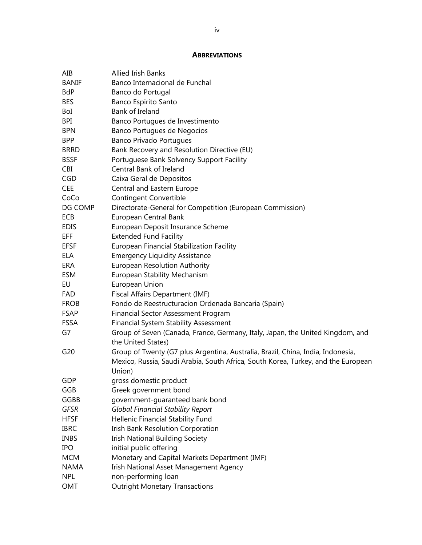### **ABBREVIATIONS**

| AIB          | <b>Allied Irish Banks</b>                                                         |
|--------------|-----------------------------------------------------------------------------------|
| <b>BANIF</b> | Banco Internacional de Funchal                                                    |
| <b>BdP</b>   | Banco do Portugal                                                                 |
| <b>BES</b>   | Banco Espirito Santo                                                              |
| BoI          | Bank of Ireland                                                                   |
| <b>BPI</b>   | Banco Portugues de Investimento                                                   |
| <b>BPN</b>   | Banco Portugues de Negocios                                                       |
| <b>BPP</b>   | <b>Banco Privado Portugues</b>                                                    |
| <b>BRRD</b>  | Bank Recovery and Resolution Directive (EU)                                       |
| <b>BSSF</b>  | Portuguese Bank Solvency Support Facility                                         |
| CBI          | Central Bank of Ireland                                                           |
| <b>CGD</b>   | Caixa Geral de Depositos                                                          |
| <b>CEE</b>   | Central and Eastern Europe                                                        |
| CoCo         | <b>Contingent Convertible</b>                                                     |
| DG COMP      | Directorate-General for Competition (European Commission)                         |
| ECB          | European Central Bank                                                             |
| <b>EDIS</b>  | European Deposit Insurance Scheme                                                 |
| <b>EFF</b>   | <b>Extended Fund Facility</b>                                                     |
| <b>EFSF</b>  | European Financial Stabilization Facility                                         |
| ELA          | <b>Emergency Liquidity Assistance</b>                                             |
| ERA          | <b>European Resolution Authority</b>                                              |
| ESM          | <b>European Stability Mechanism</b>                                               |
| EU           | European Union                                                                    |
| <b>FAD</b>   | Fiscal Affairs Department (IMF)                                                   |
| <b>FROB</b>  | Fondo de Reestructuracion Ordenada Bancaria (Spain)                               |
| <b>FSAP</b>  | <b>Financial Sector Assessment Program</b>                                        |
| <b>FSSA</b>  | <b>Financial System Stability Assessment</b>                                      |
| G7           | Group of Seven (Canada, France, Germany, Italy, Japan, the United Kingdom, and    |
|              | the United States)                                                                |
| G20          | Group of Twenty (G7 plus Argentina, Australia, Brazil, China, India, Indonesia,   |
|              | Mexico, Russia, Saudi Arabia, South Africa, South Korea, Turkey, and the European |
|              | Union)                                                                            |
| GDP          | gross domestic product                                                            |
| GGB          | Greek government bond                                                             |
| GGBB         | government-guaranteed bank bond                                                   |
| <b>GFSR</b>  | <b>Global Financial Stability Report</b>                                          |
| <b>HFSF</b>  | Hellenic Financial Stability Fund                                                 |
| <b>IBRC</b>  | Irish Bank Resolution Corporation                                                 |
| <b>INBS</b>  | <b>Irish National Building Society</b>                                            |
| <b>IPO</b>   | initial public offering                                                           |
| <b>MCM</b>   | Monetary and Capital Markets Department (IMF)                                     |
| <b>NAMA</b>  | Irish National Asset Management Agency                                            |
| <b>NPL</b>   | non-performing loan                                                               |
| OMT          | <b>Outright Monetary Transactions</b>                                             |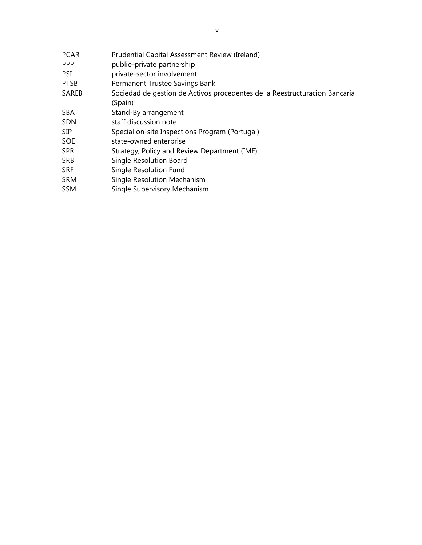| <b>PCAR</b> | Prudential Capital Assessment Review (Ireland)                             |
|-------------|----------------------------------------------------------------------------|
| <b>PPP</b>  | public-private partnership                                                 |
| PSI         | private-sector involvement                                                 |
| <b>PTSB</b> | Permanent Trustee Savings Bank                                             |
| SAREB       | Sociedad de gestion de Activos procedentes de la Reestructuracion Bancaria |
|             | (Spain)                                                                    |
| <b>SBA</b>  | Stand-By arrangement                                                       |
| <b>SDN</b>  | staff discussion note                                                      |
| <b>SIP</b>  | Special on-site Inspections Program (Portugal)                             |
| <b>SOE</b>  | state-owned enterprise                                                     |
| <b>SPR</b>  | Strategy, Policy and Review Department (IMF)                               |
| <b>SRB</b>  | Single Resolution Board                                                    |
| <b>SRF</b>  | Single Resolution Fund                                                     |
| <b>SRM</b>  | <b>Single Resolution Mechanism</b>                                         |
| <b>SSM</b>  | Single Supervisory Mechanism                                               |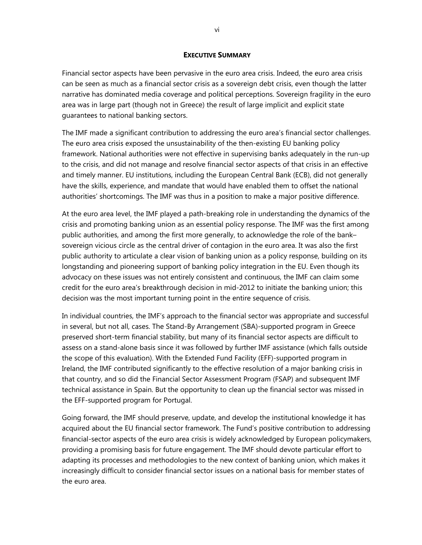#### **EXECUTIVE SUMMARY**

Financial sector aspects have been pervasive in the euro area crisis. Indeed, the euro area crisis can be seen as much as a financial sector crisis as a sovereign debt crisis, even though the latter narrative has dominated media coverage and political perceptions. Sovereign fragility in the euro area was in large part (though not in Greece) the result of large implicit and explicit state guarantees to national banking sectors.

The IMF made a significant contribution to addressing the euro area's financial sector challenges. The euro area crisis exposed the unsustainability of the then-existing EU banking policy framework. National authorities were not effective in supervising banks adequately in the run-up to the crisis, and did not manage and resolve financial sector aspects of that crisis in an effective and timely manner. EU institutions, including the European Central Bank (ECB), did not generally have the skills, experience, and mandate that would have enabled them to offset the national authorities' shortcomings. The IMF was thus in a position to make a major positive difference.

At the euro area level, the IMF played a path-breaking role in understanding the dynamics of the crisis and promoting banking union as an essential policy response. The IMF was the first among public authorities, and among the first more generally, to acknowledge the role of the bank– sovereign vicious circle as the central driver of contagion in the euro area. It was also the first public authority to articulate a clear vision of banking union as a policy response, building on its longstanding and pioneering support of banking policy integration in the EU. Even though its advocacy on these issues was not entirely consistent and continuous, the IMF can claim some credit for the euro area's breakthrough decision in mid-2012 to initiate the banking union; this decision was the most important turning point in the entire sequence of crisis.

In individual countries, the IMF's approach to the financial sector was appropriate and successful in several, but not all, cases. The Stand-By Arrangement (SBA)-supported program in Greece preserved short-term financial stability, but many of its financial sector aspects are difficult to assess on a stand-alone basis since it was followed by further IMF assistance (which falls outside the scope of this evaluation). With the Extended Fund Facility (EFF)-supported program in Ireland, the IMF contributed significantly to the effective resolution of a major banking crisis in that country, and so did the Financial Sector Assessment Program (FSAP) and subsequent IMF technical assistance in Spain. But the opportunity to clean up the financial sector was missed in the EFF-supported program for Portugal.

Going forward, the IMF should preserve, update, and develop the institutional knowledge it has acquired about the EU financial sector framework. The Fund's positive contribution to addressing financial-sector aspects of the euro area crisis is widely acknowledged by European policymakers, providing a promising basis for future engagement. The IMF should devote particular effort to adapting its processes and methodologies to the new context of banking union, which makes it increasingly difficult to consider financial sector issues on a national basis for member states of the euro area.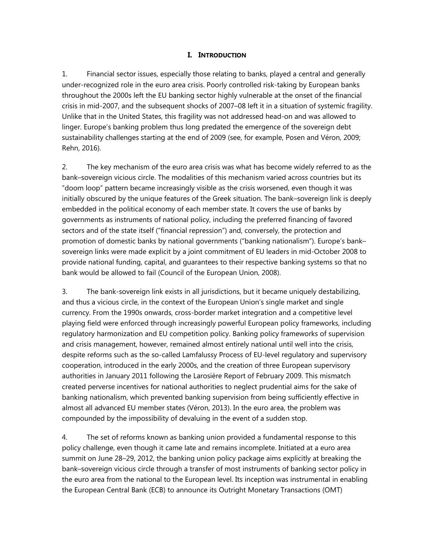### **I. INTRODUCTION**

1. Financial sector issues, especially those relating to banks, played a central and generally under-recognized role in the euro area crisis. Poorly controlled risk-taking by European banks throughout the 2000s left the EU banking sector highly vulnerable at the onset of the financial crisis in mid-2007, and the subsequent shocks of 2007–08 left it in a situation of systemic fragility. Unlike that in the United States, this fragility was not addressed head-on and was allowed to linger. Europe's banking problem thus long predated the emergence of the sovereign debt sustainability challenges starting at the end of 2009 (see, for example, Posen and Véron, 2009; Rehn, 2016).

2. The key mechanism of the euro area crisis was what has become widely referred to as the bank–sovereign vicious circle. The modalities of this mechanism varied across countries but its "doom loop" pattern became increasingly visible as the crisis worsened, even though it was initially obscured by the unique features of the Greek situation. The bank–sovereign link is deeply embedded in the political economy of each member state. It covers the use of banks by governments as instruments of national policy, including the preferred financing of favored sectors and of the state itself ("financial repression") and, conversely, the protection and promotion of domestic banks by national governments ("banking nationalism"). Europe's bank– sovereign links were made explicit by a joint commitment of EU leaders in mid-October 2008 to provide national funding, capital, and guarantees to their respective banking systems so that no bank would be allowed to fail (Council of the European Union, 2008).

3. The bank-sovereign link exists in all jurisdictions, but it became uniquely destabilizing, and thus a vicious circle, in the context of the European Union's single market and single currency. From the 1990s onwards, cross-border market integration and a competitive level playing field were enforced through increasingly powerful European policy frameworks, including regulatory harmonization and EU competition policy. Banking policy frameworks of supervision and crisis management, however, remained almost entirely national until well into the crisis, despite reforms such as the so-called Lamfalussy Process of EU-level regulatory and supervisory cooperation, introduced in the early 2000s, and the creation of three European supervisory authorities in January 2011 following the Larosière Report of February 2009. This mismatch created perverse incentives for national authorities to neglect prudential aims for the sake of banking nationalism, which prevented banking supervision from being sufficiently effective in almost all advanced EU member states (Véron, 2013). In the euro area, the problem was compounded by the impossibility of devaluing in the event of a sudden stop.

4. The set of reforms known as banking union provided a fundamental response to this policy challenge, even though it came late and remains incomplete. Initiated at a euro area summit on June 28–29, 2012, the banking union policy package aims explicitly at breaking the bank–sovereign vicious circle through a transfer of most instruments of banking sector policy in the euro area from the national to the European level. Its inception was instrumental in enabling the European Central Bank (ECB) to announce its Outright Monetary Transactions (OMT)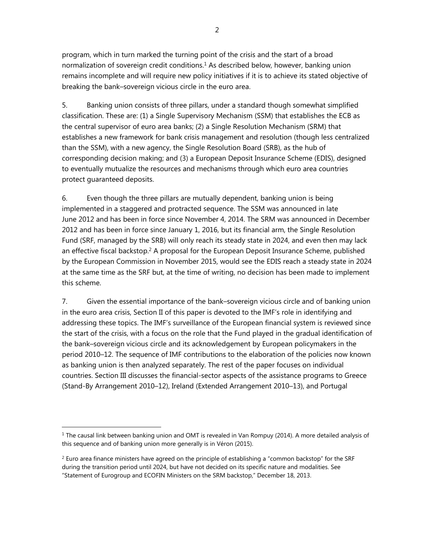program, which in turn marked the turning point of the crisis and the start of a broad normalization of sovereign credit conditions. $1$  As described below, however, banking union remains incomplete and will require new policy initiatives if it is to achieve its stated objective of breaking the bank–sovereign vicious circle in the euro area.

5. Banking union consists of three pillars, under a standard though somewhat simplified classification. These are: (1) a Single Supervisory Mechanism (SSM) that establishes the ECB as the central supervisor of euro area banks; (2) a Single Resolution Mechanism (SRM) that establishes a new framework for bank crisis management and resolution (though less centralized than the SSM), with a new agency, the Single Resolution Board (SRB), as the hub of corresponding decision making; and (3) a European Deposit Insurance Scheme (EDIS), designed to eventually mutualize the resources and mechanisms through which euro area countries protect guaranteed deposits.

6. Even though the three pillars are mutually dependent, banking union is being implemented in a staggered and protracted sequence. The SSM was announced in late June 2012 and has been in force since November 4, 2014. The SRM was announced in December 2012 and has been in force since January 1, 2016, but its financial arm, the Single Resolution Fund (SRF, managed by the SRB) will only reach its steady state in 2024, and even then may lack an effective fiscal backstop.<sup>2</sup> A proposal for the European Deposit Insurance Scheme, published by the European Commission in November 2015, would see the EDIS reach a steady state in 2024 at the same time as the SRF but, at the time of writing, no decision has been made to implement this scheme.

7. Given the essential importance of the bank–sovereign vicious circle and of banking union in the euro area crisis, Section II of this paper is devoted to the IMF's role in identifying and addressing these topics. The IMF's surveillance of the European financial system is reviewed since the start of the crisis, with a focus on the role that the Fund played in the gradual identification of the bank–sovereign vicious circle and its acknowledgement by European policymakers in the period 2010–12. The sequence of IMF contributions to the elaboration of the policies now known as banking union is then analyzed separately. The rest of the paper focuses on individual countries. Section III discusses the financial-sector aspects of the assistance programs to Greece (Stand-By Arrangement 2010–12), Ireland (Extended Arrangement 2010–13), and Portugal

 $1$  The causal link between banking union and OMT is revealed in Van Rompuy (2014). A more detailed analysis of this sequence and of banking union more generally is in Véron (2015).

 $<sup>2</sup>$  Euro area finance ministers have agreed on the principle of establishing a "common backstop" for the SRF</sup> during the transition period until 2024, but have not decided on its specific nature and modalities. See "Statement of Eurogroup and ECOFIN Ministers on the SRM backstop," December 18, 2013.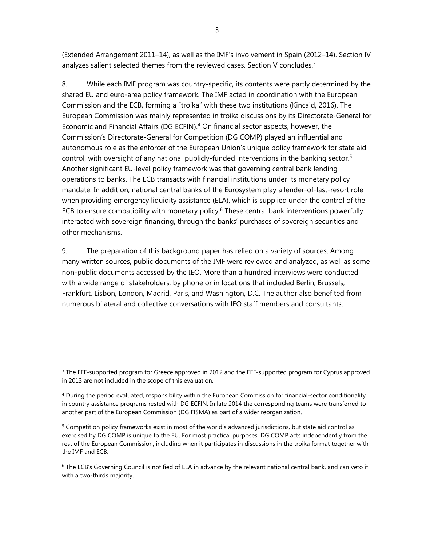(Extended Arrangement 2011–14), as well as the IMF's involvement in Spain (2012–14). Section IV analyzes salient selected themes from the reviewed cases. Section V concludes.<sup>3</sup>

8. While each IMF program was country-specific, its contents were partly determined by the shared EU and euro-area policy framework. The IMF acted in coordination with the European Commission and the ECB, forming a "troika" with these two institutions (Kincaid, 2016). The European Commission was mainly represented in troika discussions by its Directorate-General for Economic and Financial Affairs (DG ECFIN). $4$  On financial sector aspects, however, the Commission's Directorate-General for Competition (DG COMP) played an influential and autonomous role as the enforcer of the European Union's unique policy framework for state aid control, with oversight of any national publicly-funded interventions in the banking sector.<sup>5</sup> Another significant EU-level policy framework was that governing central bank lending operations to banks. The ECB transacts with financial institutions under its monetary policy mandate. In addition, national central banks of the Eurosystem play a lender-of-last-resort role when providing emergency liquidity assistance (ELA), which is supplied under the control of the ECB to ensure compatibility with monetary policy.<sup>6</sup> These central bank interventions powerfully interacted with sovereign financing, through the banks' purchases of sovereign securities and other mechanisms.

9. The preparation of this background paper has relied on a variety of sources. Among many written sources, public documents of the IMF were reviewed and analyzed, as well as some non-public documents accessed by the IEO. More than a hundred interviews were conducted with a wide range of stakeholders, by phone or in locations that included Berlin, Brussels, Frankfurt, Lisbon, London, Madrid, Paris, and Washington, D.C. The author also benefited from numerous bilateral and collective conversations with IEO staff members and consultants.

<sup>&</sup>lt;sup>3</sup> The EFF-supported program for Greece approved in 2012 and the EFF-supported program for Cyprus approved in 2013 are not included in the scope of this evaluation.

<sup>&</sup>lt;sup>4</sup> During the period evaluated, responsibility within the European Commission for financial-sector conditionality in country assistance programs rested with DG ECFIN. In late 2014 the corresponding teams were transferred to another part of the European Commission (DG FISMA) as part of a wider reorganization.

<sup>&</sup>lt;sup>5</sup> Competition policy frameworks exist in most of the world's advanced jurisdictions, but state aid control as exercised by DG COMP is unique to the EU. For most practical purposes, DG COMP acts independently from the rest of the European Commission, including when it participates in discussions in the troika format together with the IMF and ECB.

<sup>&</sup>lt;sup>6</sup> The ECB's Governing Council is notified of ELA in advance by the relevant national central bank, and can veto it with a two-thirds majority.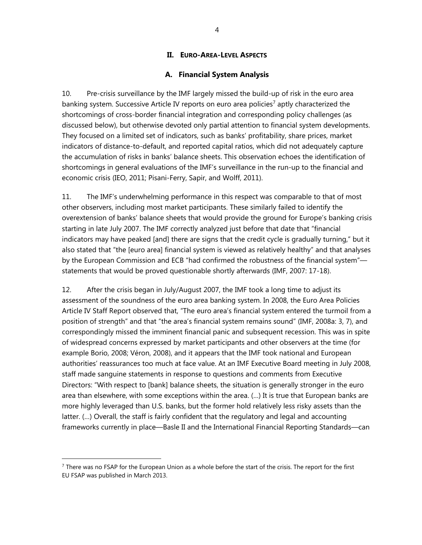### **II. EURO-AREA-LEVEL ASPECTS**

### **A. Financial System Analysis**

10. Pre-crisis surveillance by the IMF largely missed the build-up of risk in the euro area banking system. Successive Article IV reports on euro area policies<sup>7</sup> aptly characterized the shortcomings of cross-border financial integration and corresponding policy challenges (as discussed below), but otherwise devoted only partial attention to financial system developments. They focused on a limited set of indicators, such as banks' profitability, share prices, market indicators of distance-to-default, and reported capital ratios, which did not adequately capture the accumulation of risks in banks' balance sheets. This observation echoes the identification of shortcomings in general evaluations of the IMF's surveillance in the run-up to the financial and economic crisis (IEO, 2011; Pisani-Ferry, Sapir, and Wolff, 2011).

11. The IMF's underwhelming performance in this respect was comparable to that of most other observers, including most market participants. These similarly failed to identify the overextension of banks' balance sheets that would provide the ground for Europe's banking crisis starting in late July 2007. The IMF correctly analyzed just before that date that "financial indicators may have peaked [and] there are signs that the credit cycle is gradually turning," but it also stated that "the [euro area] financial system is viewed as relatively healthy" and that analyses by the European Commission and ECB "had confirmed the robustness of the financial system" statements that would be proved questionable shortly afterwards (IMF, 2007: 17-18).

12. After the crisis began in July/August 2007, the IMF took a long time to adjust its assessment of the soundness of the euro area banking system. In 2008, the Euro Area Policies Article IV Staff Report observed that, "The euro area's financial system entered the turmoil from a position of strength" and that "the area's financial system remains sound" (IMF, 2008a: 3, 7), and correspondingly missed the imminent financial panic and subsequent recession. This was in spite of widespread concerns expressed by market participants and other observers at the time (for example Borio, 2008; Véron, 2008), and it appears that the IMF took national and European authorities' reassurances too much at face value. At an IMF Executive Board meeting in July 2008, staff made sanguine statements in response to questions and comments from Executive Directors: "With respect to [bank] balance sheets, the situation is generally stronger in the euro area than elsewhere, with some exceptions within the area. (…) It is true that European banks are more highly leveraged than U.S. banks, but the former hold relatively less risky assets than the latter. (…) Overall, the staff is fairly confident that the regulatory and legal and accounting frameworks currently in place—Basle II and the International Financial Reporting Standards—can

 $7$  There was no FSAP for the European Union as a whole before the start of the crisis. The report for the first EU FSAP was published in March 2013.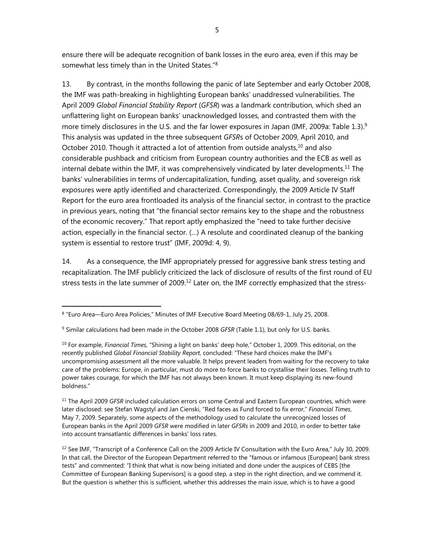ensure there will be adequate recognition of bank losses in the euro area, even if this may be somewhat less timely than in the United States."8

13. By contrast, in the months following the panic of late September and early October 2008, the IMF was path-breaking in highlighting European banks' unaddressed vulnerabilities. The April 2009 *Global Financial Stability Report* (*GFSR*) was a landmark contribution, which shed an unflattering light on European banks' unacknowledged losses, and contrasted them with the more timely disclosures in the U.S. and the far lower exposures in Japan (IMF, 2009a: Table 1.3).<sup>9</sup> This analysis was updated in the three subsequent *GFSR*s of October 2009, April 2010, and October 2010. Though it attracted a lot of attention from outside analysts,<sup>10</sup> and also considerable pushback and criticism from European country authorities and the ECB as well as internal debate within the IMF, it was comprehensively vindicated by later developments.<sup>11</sup> The banks' vulnerabilities in terms of undercapitalization, funding, asset quality, and sovereign risk exposures were aptly identified and characterized. Correspondingly, the 2009 Article IV Staff Report for the euro area frontloaded its analysis of the financial sector, in contrast to the practice in previous years, noting that "the financial sector remains key to the shape and the robustness of the economic recovery." That report aptly emphasized the "need to take further decisive action, especially in the financial sector. (…) A resolute and coordinated cleanup of the banking system is essential to restore trust" (IMF, 2009d: 4, 9).

14. As a consequence, the IMF appropriately pressed for aggressive bank stress testing and recapitalization. The IMF publicly criticized the lack of disclosure of results of the first round of EU stress tests in the late summer of 2009.<sup>12</sup> Later on, the IMF correctly emphasized that the stress-

<sup>8 &</sup>quot;Euro Area—Euro Area Policies," Minutes of IMF Executive Board Meeting 08/69-1, July 25, 2008.

<sup>9</sup> Similar calculations had been made in the October 2008 *GFSR* (Table 1.1), but only for U.S. banks.

<sup>10</sup> For example, *Financial Times*, "Shining a light on banks' deep hole," October 1, 2009. This editorial, on the recently published *Global Financial Stability Report*, concluded: "These hard choices make the IMF's uncompromising assessment all the more valuable. It helps prevent leaders from waiting for the recovery to take care of the problems: Europe, in particular, must do more to force banks to crystallise their losses. Telling truth to power takes courage, for which the IMF has not always been known. It must keep displaying its new-found boldness."

<sup>11</sup> The April 2009 *GFSR* included calculation errors on some Central and Eastern European countries, which were later disclosed: see Stefan Wagstyl and Jan Cienski, "Red faces as Fund forced to fix error," *Financial Times*, May 7, 2009. Separately, some aspects of the methodology used to calculate the unrecognized losses of European banks in the April 2009 *GFSR* were modified in later *GFSRs* in 2009 and 2010, in order to better take into account transatlantic differences in banks' loss rates.

 $12$  See IMF, "Transcript of a Conference Call on the 2009 Article IV Consultation with the Euro Area," July 30, 2009. In that call, the Director of the European Department referred to the "famous or infamous [European] bank stress tests" and commented: "I think that what is now being initiated and done under the auspices of CEBS [the Committee of European Banking Supervisors] is a good step, a step in the right direction, and we commend it. But the question is whether this is sufficient, whether this addresses the main issue, which is to have a good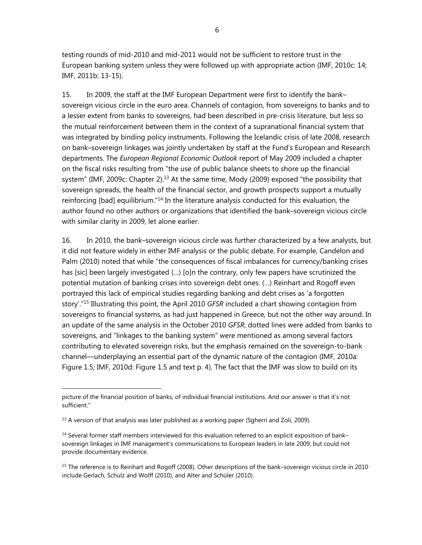testing rounds of mid-2010 and mid-2011 would not be sufficient to restore trust in the European banking system unless they were followed up with appropriate action (IMF, 2010c: 14; IMF, 2011b: 13-15).

15. In 2009, the staff at the IMF European Department were first to identify the bank– sovereign vicious circle in the euro area. Channels of contagion, from sovereigns to banks and to a lesser extent from banks to sovereigns, had been described in pre-crisis literature, but less so the mutual reinforcement between them in the context of a supranational financial system that was integrated by binding policy instruments. Following the Icelandic crisis of late 2008, research on bank–sovereign linkages was jointly undertaken by staff at the Fund's European and Research departments. The *European Regional Economic Outlook* report of May 2009 included a chapter on the fiscal risks resulting from "the use of public balance sheets to shore up the financial system" (IMF, 2009c: Chapter 2).<sup>13</sup> At the same time, Mody (2009) exposed "the possibility that sovereign spreads, the health of the financial sector, and growth prospects support a mutually reinforcing [bad] equilibrium."<sup>14</sup> In the literature analysis conducted for this evaluation, the author found no other authors or organizations that identified the bank–sovereign vicious circle with similar clarity in 2009, let alone earlier.

16. In 2010, the bank–sovereign vicious circle was further characterized by a few analysts, but it did not feature widely in either IMF analysis or the public debate. For example, Candelon and Palm (2010) noted that while "the consequences of fiscal imbalances for currency/banking crises has [sic] been largely investigated (…) [o]n the contrary, only few papers have scrutinized the potential mutation of banking crises into sovereign debt ones. (…) Reinhart and Rogoff even portrayed this lack of empirical studies regarding banking and debt crises as 'a forgotten story'."15 Illustrating this point, the April 2010 *GFSR* included a chart showing contagion from sovereigns to financial systems, as had just happened in Greece, but not the other way around. In an update of the same analysis in the October 2010 *GFSR*, dotted lines were added from banks to sovereigns, and "linkages to the banking system" were mentioned as among several factors contributing to elevated sovereign risks, but the emphasis remained on the sovereign-to-bank channel—underplaying an essential part of the dynamic nature of the contagion (IMF, 2010a: Figure 1.5; IMF, 2010d: Figure 1.5 and text p. 4). The fact that the IMF was slow to build on its

picture of the financial position of banks, of individual financial institutions. And our answer is that it's not sufficient."

<sup>&</sup>lt;sup>13</sup> A version of that analysis was later published as a working paper (Sgherri and Zoli, 2009).

<sup>&</sup>lt;sup>14</sup> Several former staff members interviewed for this evaluation referred to an explicit exposition of bank– sovereign linkages in IMF management's communications to European leaders in late 2009, but could not provide documentary evidence.

<sup>&</sup>lt;sup>15</sup> The reference is to Reinhart and Rogoff (2008). Other descriptions of the bank–sovereign vicious circle in 2010 include Gerlach, Schulz and Wolff (2010), and Alter and Schüler (2010).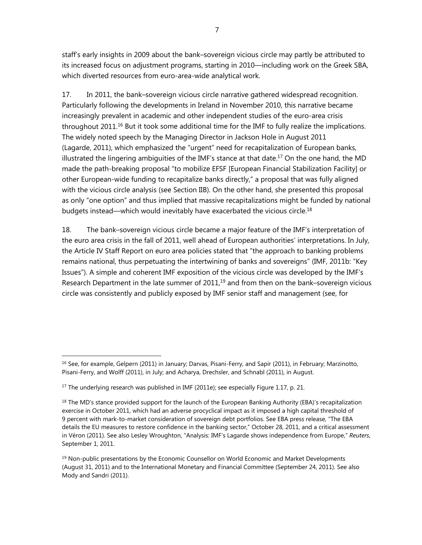staff's early insights in 2009 about the bank–sovereign vicious circle may partly be attributed to its increased focus on adjustment programs, starting in 2010—including work on the Greek SBA, which diverted resources from euro-area-wide analytical work.

17. In 2011, the bank–sovereign vicious circle narrative gathered widespread recognition. Particularly following the developments in Ireland in November 2010, this narrative became increasingly prevalent in academic and other independent studies of the euro-area crisis throughout 2011.<sup>16</sup> But it took some additional time for the IMF to fully realize the implications. The widely noted speech by the Managing Director in Jackson Hole in August 2011 (Lagarde, 2011), which emphasized the "urgent" need for recapitalization of European banks, illustrated the lingering ambiguities of the IMF's stance at that date.<sup>17</sup> On the one hand, the MD made the path-breaking proposal "to mobilize EFSF [European Financial Stabilization Facility] or other European-wide funding to recapitalize banks directly," a proposal that was fully aligned with the vicious circle analysis (see Section IIB). On the other hand, she presented this proposal as only "one option" and thus implied that massive recapitalizations might be funded by national budgets instead—which would inevitably have exacerbated the vicious circle.<sup>18</sup>

18. The bank–sovereign vicious circle became a major feature of the IMF's interpretation of the euro area crisis in the fall of 2011, well ahead of European authorities' interpretations. In July, the Article IV Staff Report on euro area policies stated that "the approach to banking problems remains national, thus perpetuating the intertwining of banks and sovereigns" (IMF, 2011b: "Key Issues"). A simple and coherent IMF exposition of the vicious circle was developed by the IMF's Research Department in the late summer of  $2011<sub>,19</sub>$  and from then on the bank–sovereign vicious circle was consistently and publicly exposed by IMF senior staff and management (see, for

<sup>&</sup>lt;sup>16</sup> See, for example, Gelpern (2011) in January; Darvas, Pisani-Ferry, and Sapir (2011), in February; Marzinotto, Pisani-Ferry, and Wolff (2011), in July; and Acharya, Drechsler, and Schnabl (2011), in August.

 $17$  The underlying research was published in IMF (2011e); see especially Figure 1.17, p. 21.

 $18$  The MD's stance provided support for the launch of the European Banking Authority (EBA)'s recapitalization exercise in October 2011, which had an adverse procyclical impact as it imposed a high capital threshold of 9 percent with mark-to-market consideration of sovereign debt portfolios. See EBA press release, "The EBA details the EU measures to restore confidence in the banking sector," October 28, 2011, and a critical assessment in Véron (2011). See also Lesley Wroughton, "Analysis: IMF's Lagarde shows independence from Europe," *Reuters*, September 1, 2011.

 $<sup>19</sup>$  Non-public presentations by the Economic Counsellor on World Economic and Market Developments</sup> (August 31, 2011) and to the International Monetary and Financial Committee (September 24, 2011). See also Mody and Sandri (2011).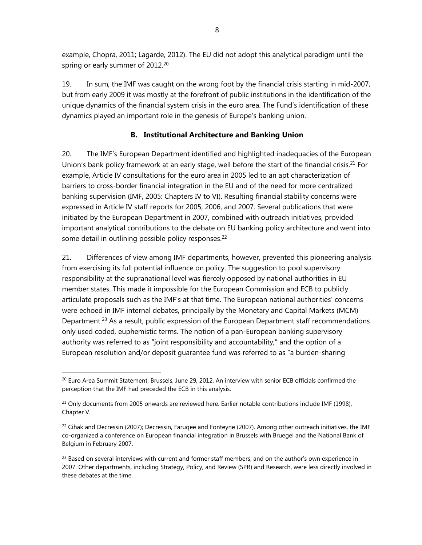example, Chopra, 2011; Lagarde, 2012). The EU did not adopt this analytical paradigm until the spring or early summer of 2012.<sup>20</sup>

19. In sum, the IMF was caught on the wrong foot by the financial crisis starting in mid-2007, but from early 2009 it was mostly at the forefront of public institutions in the identification of the unique dynamics of the financial system crisis in the euro area. The Fund's identification of these dynamics played an important role in the genesis of Europe's banking union.

# **B. Institutional Architecture and Banking Union**

20. The IMF's European Department identified and highlighted inadequacies of the European Union's bank policy framework at an early stage, well before the start of the financial crisis.<sup>21</sup> For example, Article IV consultations for the euro area in 2005 led to an apt characterization of barriers to cross-border financial integration in the EU and of the need for more centralized banking supervision (IMF, 2005: Chapters IV to VI). Resulting financial stability concerns were expressed in Article IV staff reports for 2005, 2006, and 2007. Several publications that were initiated by the European Department in 2007, combined with outreach initiatives, provided important analytical contributions to the debate on EU banking policy architecture and went into some detail in outlining possible policy responses. $22$ 

21. Differences of view among IMF departments, however, prevented this pioneering analysis from exercising its full potential influence on policy. The suggestion to pool supervisory responsibility at the supranational level was fiercely opposed by national authorities in EU member states. This made it impossible for the European Commission and ECB to publicly articulate proposals such as the IMF's at that time. The European national authorities' concerns were echoed in IMF internal debates, principally by the Monetary and Capital Markets (MCM) Department.<sup>23</sup> As a result, public expression of the European Department staff recommendations only used coded, euphemistic terms. The notion of a pan-European banking supervisory authority was referred to as "joint responsibility and accountability," and the option of a European resolution and/or deposit guarantee fund was referred to as "a burden-sharing

 $^{20}$  Euro Area Summit Statement, Brussels, June 29, 2012. An interview with senior ECB officials confirmed the perception that the IMF had preceded the ECB in this analysis.

 $21$  Only documents from 2005 onwards are reviewed here. Earlier notable contributions include IMF (1998), Chapter V.

 $^{22}$  Cihak and Decressin (2007); Decressin, Faruqee and Fonteyne (2007). Among other outreach initiatives, the IMF co-organized a conference on European financial integration in Brussels with Bruegel and the National Bank of Belgium in February 2007.

 $^{23}$  Based on several interviews with current and former staff members, and on the author's own experience in 2007. Other departments, including Strategy, Policy, and Review (SPR) and Research, were less directly involved in these debates at the time.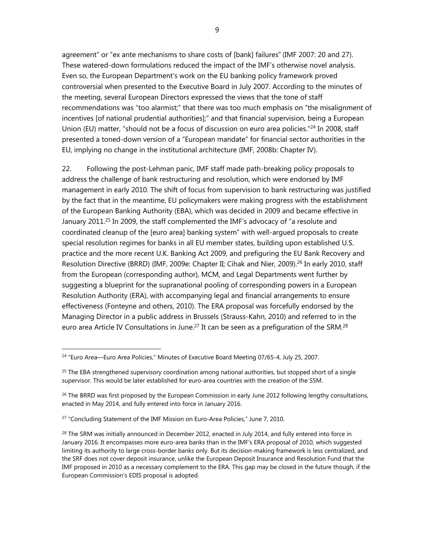agreement" or "ex ante mechanisms to share costs of [bank] failures"(IMF 2007: 20 and 27). These watered-down formulations reduced the impact of the IMF's otherwise novel analysis. Even so, the European Department's work on the EU banking policy framework proved controversial when presented to the Executive Board in July 2007. According to the minutes of the meeting, several European Directors expressed the views that the tone of staff recommendations was "too alarmist;" that there was too much emphasis on "the misalignment of incentives [of national prudential authorities];" and that financial supervision, being a European Union (EU) matter, "should not be a focus of discussion on euro area policies."<sup>24</sup> In 2008, staff presented a toned-down version of a "European mandate" for financial sector authorities in the EU, implying no change in the institutional architecture (IMF, 2008b: Chapter IV).

22. Following the post-Lehman panic, IMF staff made path-breaking policy proposals to address the challenge of bank restructuring and resolution, which were endorsed by IMF management in early 2010. The shift of focus from supervision to bank restructuring was justified by the fact that in the meantime, EU policymakers were making progress with the establishment of the European Banking Authority (EBA), which was decided in 2009 and became effective in January 2011.<sup>25</sup> In 2009, the staff complemented the IMF's advocacy of "a resolute and coordinated cleanup of the [euro area] banking system" with well-argued proposals to create special resolution regimes for banks in all EU member states, building upon established U.S. practice and the more recent U.K. Banking Act 2009, and prefiguring the EU Bank Recovery and Resolution Directive (BRRD) (IMF, 2009e: Chapter II; Cihak and Nier, 2009).<sup>26</sup> In early 2010, staff from the European (corresponding author), MCM, and Legal Departments went further by suggesting a blueprint for the supranational pooling of corresponding powers in a European Resolution Authority (ERA), with accompanying legal and financial arrangements to ensure effectiveness (Fonteyne and others, 2010). The ERA proposal was forcefully endorsed by the Managing Director in a public address in Brussels (Strauss-Kahn, 2010) and referred to in the euro area Article IV Consultations in June.<sup>27</sup> It can be seen as a prefiguration of the SRM.<sup>28</sup>

<sup>&</sup>lt;sup>24</sup> "Euro Area—Euro Area Policies," Minutes of Executive Board Meeting 07/65-4, July 25, 2007.

 $25$  The EBA strengthened supervisory coordination among national authorities, but stopped short of a single supervisor. This would be later established for euro-area countries with the creation of the SSM.

 $26$  The BRRD was first proposed by the European Commission in early June 2012 following lengthy consultations, enacted in May 2014, and fully entered into force in January 2016.

<sup>&</sup>lt;sup>27</sup> "Concluding Statement of the IMF Mission on Euro-Area Policies," June 7, 2010.

 $^{28}$  The SRM was initially announced in December 2012, enacted in July 2014, and fully entered into force in January 2016. It encompasses more euro-area banks than in the IMF's ERA proposal of 2010, which suggested limiting its authority to large cross-border banks only. But its decision-making framework is less centralized, and the SRF does not cover deposit insurance, unlike the European Deposit Insurance and Resolution Fund that the IMF proposed in 2010 as a necessary complement to the ERA. This gap may be closed in the future though, if the European Commission's EDIS proposal is adopted.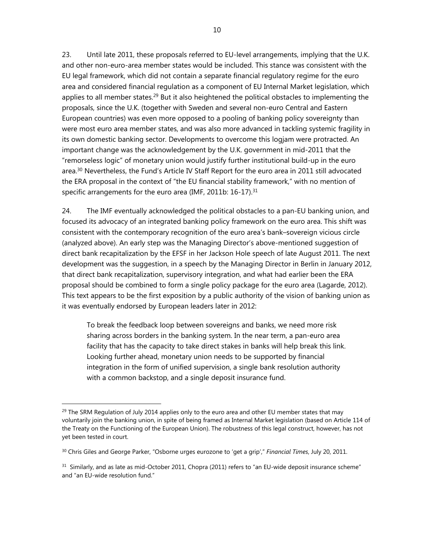23. Until late 2011, these proposals referred to EU-level arrangements, implying that the U.K. and other non-euro-area member states would be included. This stance was consistent with the EU legal framework, which did not contain a separate financial regulatory regime for the euro area and considered financial regulation as a component of EU Internal Market legislation, which applies to all member states.<sup>29</sup> But it also heightened the political obstacles to implementing the proposals, since the U.K. (together with Sweden and several non-euro Central and Eastern European countries) was even more opposed to a pooling of banking policy sovereignty than were most euro area member states, and was also more advanced in tackling systemic fragility in its own domestic banking sector. Developments to overcome this logjam were protracted. An important change was the acknowledgement by the U.K. government in mid-2011 that the "remorseless logic" of monetary union would justify further institutional build-up in the euro area.<sup>30</sup> Nevertheless, the Fund's Article IV Staff Report for the euro area in 2011 still advocated the ERA proposal in the context of "the EU financial stability framework," with no mention of specific arrangements for the euro area (IMF, 2011b:  $16-17$ ).<sup>31</sup>

24. The IMF eventually acknowledged the political obstacles to a pan-EU banking union, and focused its advocacy of an integrated banking policy framework on the euro area. This shift was consistent with the contemporary recognition of the euro area's bank–sovereign vicious circle (analyzed above). An early step was the Managing Director's above-mentioned suggestion of direct bank recapitalization by the EFSF in her Jackson Hole speech of late August 2011. The next development was the suggestion, in a speech by the Managing Director in Berlin in January 2012, that direct bank recapitalization, supervisory integration, and what had earlier been the ERA proposal should be combined to form a single policy package for the euro area (Lagarde, 2012). This text appears to be the first exposition by a public authority of the vision of banking union as it was eventually endorsed by European leaders later in 2012:

To break the feedback loop between sovereigns and banks, we need more risk sharing across borders in the banking system. In the near term, a pan-euro area facility that has the capacity to take direct stakes in banks will help break this link. Looking further ahead, monetary union needs to be supported by financial integration in the form of unified supervision, a single bank resolution authority with a common backstop, and a single deposit insurance fund.

<sup>&</sup>lt;sup>29</sup> The SRM Regulation of July 2014 applies only to the euro area and other EU member states that may voluntarily join the banking union, in spite of being framed as Internal Market legislation (based on Article 114 of the Treaty on the Functioning of the European Union). The robustness of this legal construct, however, has not yet been tested in court.

<sup>30</sup> Chris Giles and George Parker, "Osborne urges eurozone to 'get a grip'," *Financial Times*, July 20, 2011.

 $31$  Similarly, and as late as mid-October 2011, Chopra (2011) refers to "an EU-wide deposit insurance scheme" and "an EU-wide resolution fund."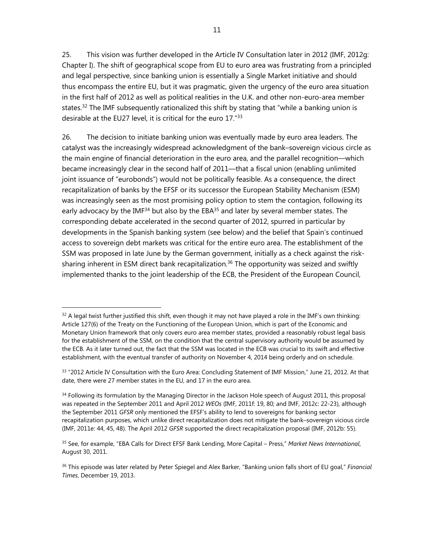25. This vision was further developed in the Article IV Consultation later in 2012 (IMF, 2012g: Chapter I). The shift of geographical scope from EU to euro area was frustrating from a principled and legal perspective, since banking union is essentially a Single Market initiative and should thus encompass the entire EU, but it was pragmatic, given the urgency of the euro area situation in the first half of 2012 as well as political realities in the U.K. and other non-euro-area member states.<sup>32</sup> The IMF subsequently rationalized this shift by stating that "while a banking union is desirable at the EU27 level, it is critical for the euro 17."33

26. The decision to initiate banking union was eventually made by euro area leaders. The catalyst was the increasingly widespread acknowledgment of the bank–sovereign vicious circle as the main engine of financial deterioration in the euro area, and the parallel recognition—which became increasingly clear in the second half of 2011—that a fiscal union (enabling unlimited joint issuance of "eurobonds") would not be politically feasible. As a consequence, the direct recapitalization of banks by the EFSF or its successor the European Stability Mechanism (ESM) was increasingly seen as the most promising policy option to stem the contagion, following its early advocacy by the IMF<sup>34</sup> but also by the EBA $35$  and later by several member states. The corresponding debate accelerated in the second quarter of 2012, spurred in particular by developments in the Spanish banking system (see below) and the belief that Spain's continued access to sovereign debt markets was critical for the entire euro area. The establishment of the SSM was proposed in late June by the German government, initially as a check against the risksharing inherent in ESM direct bank recapitalization.<sup>36</sup> The opportunity was seized and swiftly implemented thanks to the joint leadership of the ECB, the President of the European Council,

 $32$  A legal twist further justified this shift, even though it may not have played a role in the IMF's own thinking: Article 127(6) of the Treaty on the Functioning of the European Union, which is part of the Economic and Monetary Union framework that only covers euro area member states, provided a reasonably robust legal basis for the establishment of the SSM, on the condition that the central supervisory authority would be assumed by the ECB. As it later turned out, the fact that the SSM was located in the ECB was crucial to its swift and effective establishment, with the eventual transfer of authority on November 4, 2014 being orderly and on schedule.

 $33$  "2012 Article IV Consultation with the Euro Area: Concluding Statement of IMF Mission," June 21, 2012. At that date, there were 27 member states in the EU, and 17 in the euro area.

<sup>&</sup>lt;sup>34</sup> Following its formulation by the Managing Director in the Jackson Hole speech of August 2011, this proposal was repeated in the September 2011 and April 2012 *WEOs* (IMF, 2011f: 19, 80; and IMF, 2012c: 22-23), although the September 2011 *GFSR* only mentioned the EFSF's ability to lend to sovereigns for banking sector recapitalization purposes, which unlike direct recapitalization does not mitigate the bank–sovereign vicious circle (IMF, 2011e: 44, 45, 48). The April 2012 *GFSR* supported the direct recapitalization proposal (IMF, 2012b: 55).

<sup>35</sup> See, for example, "EBA Calls for Direct EFSF Bank Lending, More Capital – Press," *Market News International*, August 30, 2011.

<sup>36</sup> This episode was later related by Peter Spiegel and Alex Barker, "Banking union falls short of EU goal," *Financial Times*, December 19, 2013.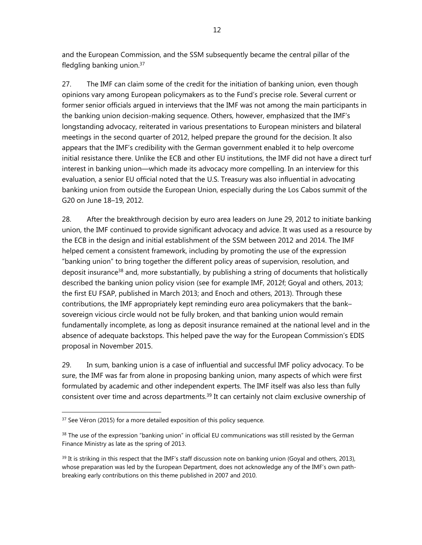and the European Commission, and the SSM subsequently became the central pillar of the fledgling banking union.<sup>37</sup>

27. The IMF can claim some of the credit for the initiation of banking union, even though opinions vary among European policymakers as to the Fund's precise role. Several current or former senior officials argued in interviews that the IMF was not among the main participants in the banking union decision-making sequence. Others, however, emphasized that the IMF's longstanding advocacy, reiterated in various presentations to European ministers and bilateral meetings in the second quarter of 2012, helped prepare the ground for the decision. It also appears that the IMF's credibility with the German government enabled it to help overcome initial resistance there. Unlike the ECB and other EU institutions, the IMF did not have a direct turf interest in banking union—which made its advocacy more compelling. In an interview for this evaluation, a senior EU official noted that the U.S. Treasury was also influential in advocating banking union from outside the European Union, especially during the Los Cabos summit of the G20 on June 18–19, 2012.

28. After the breakthrough decision by euro area leaders on June 29, 2012 to initiate banking union, the IMF continued to provide significant advocacy and advice. It was used as a resource by the ECB in the design and initial establishment of the SSM between 2012 and 2014. The IMF helped cement a consistent framework, including by promoting the use of the expression "banking union" to bring together the different policy areas of supervision, resolution, and deposit insurance<sup>38</sup> and, more substantially, by publishing a string of documents that holistically described the banking union policy vision (see for example IMF, 2012f; Goyal and others, 2013; the first EU FSAP, published in March 2013; and Enoch and others, 2013). Through these contributions, the IMF appropriately kept reminding euro area policymakers that the bank– sovereign vicious circle would not be fully broken, and that banking union would remain fundamentally incomplete, as long as deposit insurance remained at the national level and in the absence of adequate backstops. This helped pave the way for the European Commission's EDIS proposal in November 2015.

29. In sum, banking union is a case of influential and successful IMF policy advocacy. To be sure, the IMF was far from alone in proposing banking union, many aspects of which were first formulated by academic and other independent experts. The IMF itself was also less than fully consistent over time and across departments.<sup>39</sup> It can certainly not claim exclusive ownership of

<sup>&</sup>lt;sup>37</sup> See Véron (2015) for a more detailed exposition of this policy sequence.

<sup>&</sup>lt;sup>38</sup> The use of the expression "banking union" in official EU communications was still resisted by the German Finance Ministry as late as the spring of 2013.

 $39$  It is striking in this respect that the IMF's staff discussion note on banking union (Goyal and others, 2013), whose preparation was led by the European Department, does not acknowledge any of the IMF's own pathbreaking early contributions on this theme published in 2007 and 2010.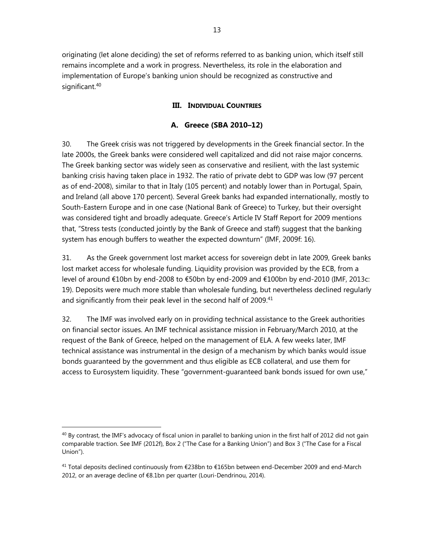originating (let alone deciding) the set of reforms referred to as banking union, which itself still remains incomplete and a work in progress. Nevertheless, its role in the elaboration and implementation of Europe's banking union should be recognized as constructive and significant.<sup>40</sup>

# **III. INDIVIDUAL COUNTRIES**

# **A. Greece (SBA 2010–12)**

30. The Greek crisis was not triggered by developments in the Greek financial sector. In the late 2000s, the Greek banks were considered well capitalized and did not raise major concerns. The Greek banking sector was widely seen as conservative and resilient, with the last systemic banking crisis having taken place in 1932. The ratio of private debt to GDP was low (97 percent as of end-2008), similar to that in Italy (105 percent) and notably lower than in Portugal, Spain, and Ireland (all above 170 percent). Several Greek banks had expanded internationally, mostly to South-Eastern Europe and in one case (National Bank of Greece) to Turkey, but their oversight was considered tight and broadly adequate. Greece's Article IV Staff Report for 2009 mentions that, "Stress tests (conducted jointly by the Bank of Greece and staff) suggest that the banking system has enough buffers to weather the expected downturn" (IMF, 2009f: 16).

31. As the Greek government lost market access for sovereign debt in late 2009, Greek banks lost market access for wholesale funding. Liquidity provision was provided by the ECB, from a level of around €10bn by end-2008 to €50bn by end-2009 and €100bn by end-2010 (IMF, 2013c: 19). Deposits were much more stable than wholesale funding, but nevertheless declined regularly and significantly from their peak level in the second half of 2009.<sup>41</sup>

32. The IMF was involved early on in providing technical assistance to the Greek authorities on financial sector issues. An IMF technical assistance mission in February/March 2010, at the request of the Bank of Greece, helped on the management of ELA. A few weeks later, IMF technical assistance was instrumental in the design of a mechanism by which banks would issue bonds guaranteed by the government and thus eligible as ECB collateral, and use them for access to Eurosystem liquidity. These "government-guaranteed bank bonds issued for own use,"

 $40$  By contrast, the IMF's advocacy of fiscal union in parallel to banking union in the first half of 2012 did not gain comparable traction. See IMF (2012f), Box 2 ("The Case for a Banking Union") and Box 3 ("The Case for a Fiscal Union").

<sup>&</sup>lt;sup>41</sup> Total deposits declined continuously from €238bn to €165bn between end-December 2009 and end-March 2012, or an average decline of €8.1bn per quarter (Louri-Dendrinou, 2014).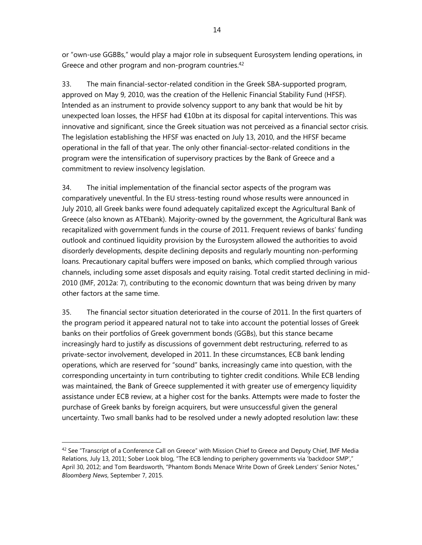or "own-use GGBBs," would play a major role in subsequent Eurosystem lending operations, in Greece and other program and non-program countries.<sup>42</sup>

33. The main financial-sector-related condition in the Greek SBA-supported program, approved on May 9, 2010, was the creation of the Hellenic Financial Stability Fund (HFSF). Intended as an instrument to provide solvency support to any bank that would be hit by unexpected loan losses, the HFSF had €10bn at its disposal for capital interventions. This was innovative and significant, since the Greek situation was not perceived as a financial sector crisis. The legislation establishing the HFSF was enacted on July 13, 2010, and the HFSF became operational in the fall of that year. The only other financial-sector-related conditions in the program were the intensification of supervisory practices by the Bank of Greece and a commitment to review insolvency legislation.

34. The initial implementation of the financial sector aspects of the program was comparatively uneventful. In the EU stress-testing round whose results were announced in July 2010, all Greek banks were found adequately capitalized except the Agricultural Bank of Greece (also known as ATEbank). Majority-owned by the government, the Agricultural Bank was recapitalized with government funds in the course of 2011. Frequent reviews of banks' funding outlook and continued liquidity provision by the Eurosystem allowed the authorities to avoid disorderly developments, despite declining deposits and regularly mounting non-performing loans. Precautionary capital buffers were imposed on banks, which complied through various channels, including some asset disposals and equity raising. Total credit started declining in mid-2010 (IMF, 2012a: 7), contributing to the economic downturn that was being driven by many other factors at the same time.

35. The financial sector situation deteriorated in the course of 2011. In the first quarters of the program period it appeared natural not to take into account the potential losses of Greek banks on their portfolios of Greek government bonds (GGBs), but this stance became increasingly hard to justify as discussions of government debt restructuring, referred to as private-sector involvement, developed in 2011. In these circumstances, ECB bank lending operations, which are reserved for "sound" banks, increasingly came into question, with the corresponding uncertainty in turn contributing to tighter credit conditions. While ECB lending was maintained, the Bank of Greece supplemented it with greater use of emergency liquidity assistance under ECB review, at a higher cost for the banks. Attempts were made to foster the purchase of Greek banks by foreign acquirers, but were unsuccessful given the general uncertainty. Two small banks had to be resolved under a newly adopted resolution law: these

<sup>&</sup>lt;sup>42</sup> See "Transcript of a Conference Call on Greece" with Mission Chief to Greece and Deputy Chief, IMF Media Relations, July 13, 2011; Sober Look blog, "The ECB lending to periphery governments via 'backdoor SMP'," April 30, 2012; and Tom Beardsworth, "Phantom Bonds Menace Write Down of Greek Lenders' Senior Notes," *Bloomberg News*, September 7, 2015.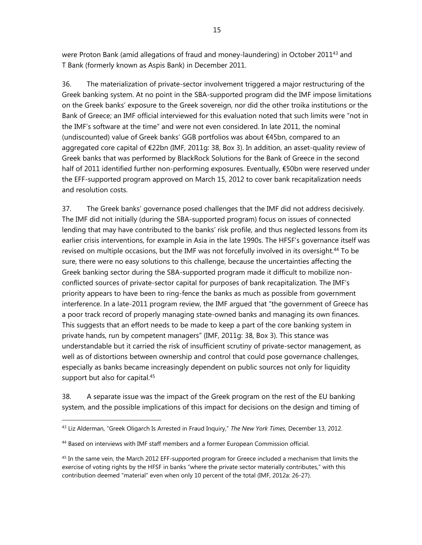were Proton Bank (amid allegations of fraud and money-laundering) in October 2011<sup>43</sup> and T Bank (formerly known as Aspis Bank) in December 2011.

36. The materialization of private-sector involvement triggered a major restructuring of the Greek banking system. At no point in the SBA-supported program did the IMF impose limitations on the Greek banks' exposure to the Greek sovereign, nor did the other troika institutions or the Bank of Greece; an IMF official interviewed for this evaluation noted that such limits were "not in the IMF's software at the time" and were not even considered. In late 2011, the nominal (undiscounted) value of Greek banks' GGB portfolios was about €45bn, compared to an aggregated core capital of €22bn (IMF, 2011g: 38, Box 3). In addition, an asset-quality review of Greek banks that was performed by BlackRock Solutions for the Bank of Greece in the second half of 2011 identified further non-performing exposures. Eventually, €50bn were reserved under the EFF-supported program approved on March 15, 2012 to cover bank recapitalization needs and resolution costs.

37. The Greek banks' governance posed challenges that the IMF did not address decisively. The IMF did not initially (during the SBA-supported program) focus on issues of connected lending that may have contributed to the banks' risk profile, and thus neglected lessons from its earlier crisis interventions, for example in Asia in the late 1990s. The HFSF's governance itself was revised on multiple occasions, but the IMF was not forcefully involved in its oversight.<sup>44</sup> To be sure, there were no easy solutions to this challenge, because the uncertainties affecting the Greek banking sector during the SBA-supported program made it difficult to mobilize nonconflicted sources of private-sector capital for purposes of bank recapitalization. The IMF's priority appears to have been to ring-fence the banks as much as possible from government interference. In a late-2011 program review, the IMF argued that "the government of Greece has a poor track record of properly managing state-owned banks and managing its own finances. This suggests that an effort needs to be made to keep a part of the core banking system in private hands, run by competent managers" (IMF, 2011g: 38, Box 3). This stance was understandable but it carried the risk of insufficient scrutiny of private-sector management, as well as of distortions between ownership and control that could pose governance challenges, especially as banks became increasingly dependent on public sources not only for liquidity support but also for capital.<sup>45</sup>

38. A separate issue was the impact of the Greek program on the rest of the EU banking system, and the possible implications of this impact for decisions on the design and timing of

<sup>43</sup> Liz Alderman, "Greek Oligarch Is Arrested in Fraud Inquiry," *The New York Times*, December 13, 2012.

<sup>&</sup>lt;sup>44</sup> Based on interviews with IMF staff members and a former European Commission official.

<sup>&</sup>lt;sup>45</sup> In the same vein, the March 2012 EFF-supported program for Greece included a mechanism that limits the exercise of voting rights by the HFSF in banks "where the private sector materially contributes," with this contribution deemed "material" even when only 10 percent of the total (IMF, 2012a: 26-27).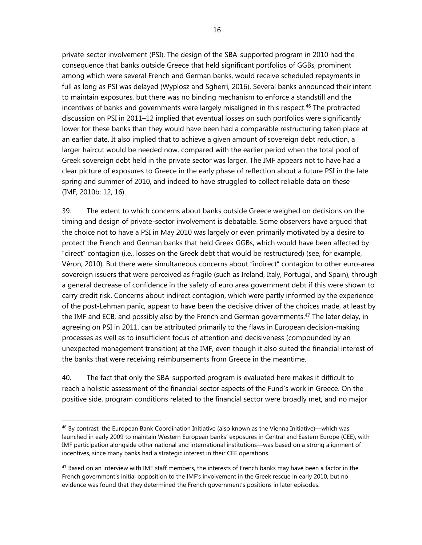private-sector involvement (PSI). The design of the SBA-supported program in 2010 had the consequence that banks outside Greece that held significant portfolios of GGBs, prominent among which were several French and German banks, would receive scheduled repayments in full as long as PSI was delayed (Wyplosz and Sgherri, 2016). Several banks announced their intent to maintain exposures, but there was no binding mechanism to enforce a standstill and the incentives of banks and governments were largely misaligned in this respect.<sup>46</sup> The protracted discussion on PSI in 2011–12 implied that eventual losses on such portfolios were significantly lower for these banks than they would have been had a comparable restructuring taken place at an earlier date. It also implied that to achieve a given amount of sovereign debt reduction, a larger haircut would be needed now, compared with the earlier period when the total pool of Greek sovereign debt held in the private sector was larger. The IMF appears not to have had a clear picture of exposures to Greece in the early phase of reflection about a future PSI in the late spring and summer of 2010, and indeed to have struggled to collect reliable data on these (IMF, 2010b: 12, 16).

39. The extent to which concerns about banks outside Greece weighed on decisions on the timing and design of private-sector involvement is debatable. Some observers have argued that the choice not to have a PSI in May 2010 was largely or even primarily motivated by a desire to protect the French and German banks that held Greek GGBs, which would have been affected by "direct" contagion (i.e., losses on the Greek debt that would be restructured) (see, for example, Véron, 2010). But there were simultaneous concerns about "indirect" contagion to other euro-area sovereign issuers that were perceived as fragile (such as Ireland, Italy, Portugal, and Spain), through a general decrease of confidence in the safety of euro area government debt if this were shown to carry credit risk. Concerns about indirect contagion, which were partly informed by the experience of the post-Lehman panic, appear to have been the decisive driver of the choices made, at least by the IMF and ECB, and possibly also by the French and German governments.<sup>47</sup> The later delay, in agreeing on PSI in 2011, can be attributed primarily to the flaws in European decision-making processes as well as to insufficient focus of attention and decisiveness (compounded by an unexpected management transition) at the IMF, even though it also suited the financial interest of the banks that were receiving reimbursements from Greece in the meantime.

40. The fact that only the SBA-supported program is evaluated here makes it difficult to reach a holistic assessment of the financial-sector aspects of the Fund's work in Greece. On the positive side, program conditions related to the financial sector were broadly met, and no major

<sup>46</sup> By contrast, the European Bank Coordination Initiative (also known as the Vienna Initiative)—which was launched in early 2009 to maintain Western European banks' exposures in Central and Eastern Europe (CEE), with IMF participation alongside other national and international institutions—was based on a strong alignment of incentives, since many banks had a strategic interest in their CEE operations.

<sup>&</sup>lt;sup>47</sup> Based on an interview with IMF staff members, the interests of French banks may have been a factor in the French government's initial opposition to the IMF's involvement in the Greek rescue in early 2010, but no evidence was found that they determined the French government's positions in later episodes.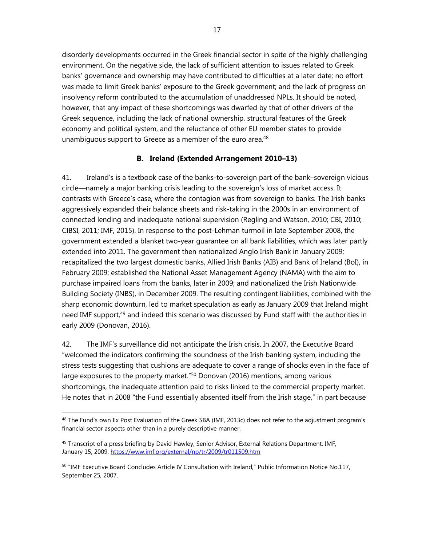disorderly developments occurred in the Greek financial sector in spite of the highly challenging environment. On the negative side, the lack of sufficient attention to issues related to Greek banks' governance and ownership may have contributed to difficulties at a later date; no effort was made to limit Greek banks' exposure to the Greek government; and the lack of progress on insolvency reform contributed to the accumulation of unaddressed NPLs. It should be noted, however, that any impact of these shortcomings was dwarfed by that of other drivers of the Greek sequence, including the lack of national ownership, structural features of the Greek economy and political system, and the reluctance of other EU member states to provide unambiguous support to Greece as a member of the euro area.<sup>48</sup>

### **B. Ireland (Extended Arrangement 2010–13)**

41. Ireland's is a textbook case of the banks-to-sovereign part of the bank–sovereign vicious circle—namely a major banking crisis leading to the sovereign's loss of market access. It contrasts with Greece's case, where the contagion was from sovereign to banks. The Irish banks aggressively expanded their balance sheets and risk-taking in the 2000s in an environment of connected lending and inadequate national supervision (Regling and Watson, 2010; CBI, 2010; CIBSI, 2011; IMF, 2015). In response to the post-Lehman turmoil in late September 2008, the government extended a blanket two-year guarantee on all bank liabilities, which was later partly extended into 2011. The government then nationalized Anglo Irish Bank in January 2009; recapitalized the two largest domestic banks, Allied Irish Banks (AIB) and Bank of Ireland (BoI), in February 2009; established the National Asset Management Agency (NAMA) with the aim to purchase impaired loans from the banks, later in 2009; and nationalized the Irish Nationwide Building Society (INBS), in December 2009. The resulting contingent liabilities, combined with the sharp economic downturn, led to market speculation as early as January 2009 that Ireland might need IMF support,<sup>49</sup> and indeed this scenario was discussed by Fund staff with the authorities in early 2009 (Donovan, 2016).

42. The IMF's surveillance did not anticipate the Irish crisis. In 2007, the Executive Board "welcomed the indicators confirming the soundness of the Irish banking system, including the stress tests suggesting that cushions are adequate to cover a range of shocks even in the face of large exposures to the property market."<sup>50</sup> Donovan (2016) mentions, among various shortcomings, the inadequate attention paid to risks linked to the commercial property market. He notes that in 2008 "the Fund essentially absented itself from the Irish stage," in part because

<sup>&</sup>lt;sup>48</sup> The Fund's own Ex Post Evaluation of the Greek SBA (IMF, 2013c) does not refer to the adjustment program's financial sector aspects other than in a purely descriptive manner.

<sup>&</sup>lt;sup>49</sup> Transcript of a press briefing by David Hawley, Senior Advisor, External Relations Department, IMF, January 15, 2009, https://www.imf.org/external/np/tr/2009/tr011509.htm

<sup>&</sup>lt;sup>50</sup> "IMF Executive Board Concludes Article IV Consultation with Ireland," Public Information Notice No.117, September 25, 2007.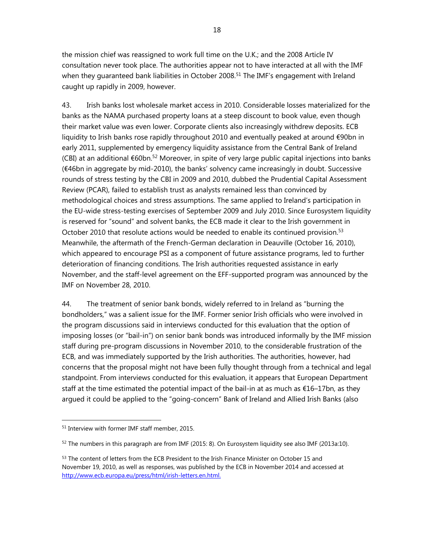the mission chief was reassigned to work full time on the U.K.; and the 2008 Article IV consultation never took place. The authorities appear not to have interacted at all with the IMF when they guaranteed bank liabilities in October 2008.<sup>51</sup> The IMF's engagement with Ireland caught up rapidly in 2009, however.

43. Irish banks lost wholesale market access in 2010. Considerable losses materialized for the banks as the NAMA purchased property loans at a steep discount to book value, even though their market value was even lower. Corporate clients also increasingly withdrew deposits. ECB liquidity to Irish banks rose rapidly throughout 2010 and eventually peaked at around €90bn in early 2011, supplemented by emergency liquidity assistance from the Central Bank of Ireland (CBI) at an additional €60bn.<sup>52</sup> Moreover, in spite of very large public capital injections into banks (€46bn in aggregate by mid-2010), the banks' solvency came increasingly in doubt. Successive rounds of stress testing by the CBI in 2009 and 2010, dubbed the Prudential Capital Assessment Review (PCAR), failed to establish trust as analysts remained less than convinced by methodological choices and stress assumptions. The same applied to Ireland's participation in the EU-wide stress-testing exercises of September 2009 and July 2010. Since Eurosystem liquidity is reserved for "sound" and solvent banks, the ECB made it clear to the Irish government in October 2010 that resolute actions would be needed to enable its continued provision.<sup>53</sup> Meanwhile, the aftermath of the French-German declaration in Deauville (October 16, 2010), which appeared to encourage PSI as a component of future assistance programs, led to further deterioration of financing conditions. The Irish authorities requested assistance in early November, and the staff-level agreement on the EFF-supported program was announced by the IMF on November 28, 2010.

44. The treatment of senior bank bonds, widely referred to in Ireland as "burning the bondholders," was a salient issue for the IMF. Former senior Irish officials who were involved in the program discussions said in interviews conducted for this evaluation that the option of imposing losses (or "bail-in") on senior bank bonds was introduced informally by the IMF mission staff during pre-program discussions in November 2010, to the considerable frustration of the ECB, and was immediately supported by the Irish authorities. The authorities, however, had concerns that the proposal might not have been fully thought through from a technical and legal standpoint. From interviews conducted for this evaluation, it appears that European Department staff at the time estimated the potential impact of the bail-in at as much as  $\epsilon$ 16–17bn, as they argued it could be applied to the "going-concern" Bank of Ireland and Allied Irish Banks (also

<sup>51</sup> Interview with former IMF staff member, 2015.

 $52$  The numbers in this paragraph are from IMF (2015: 8). On Eurosystem liquidity see also IMF (2013a:10).

<sup>&</sup>lt;sup>53</sup> The content of letters from the ECB President to the Irish Finance Minister on October 15 and November 19, 2010, as well as responses, was published by the ECB in November 2014 and accessed at http://www.ecb.europa.eu/press/html/irish-letters.en.html.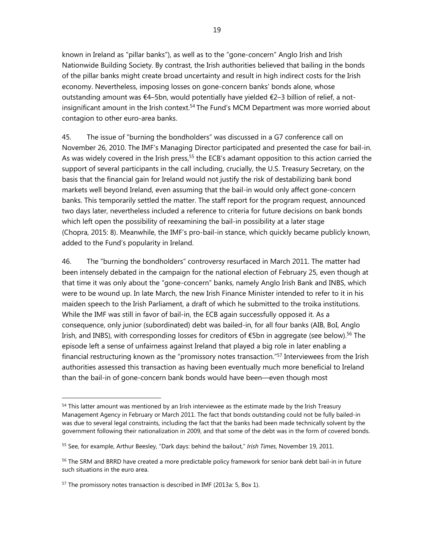known in Ireland as "pillar banks"), as well as to the "gone-concern" Anglo Irish and Irish Nationwide Building Society. By contrast, the Irish authorities believed that bailing in the bonds of the pillar banks might create broad uncertainty and result in high indirect costs for the Irish economy. Nevertheless, imposing losses on gone-concern banks' bonds alone, whose outstanding amount was €4–5bn, would potentially have yielded €2–3 billion of relief, a notinsignificant amount in the Irish context.<sup>54</sup> The Fund's MCM Department was more worried about contagion to other euro-area banks.

45. The issue of "burning the bondholders" was discussed in a G7 conference call on November 26, 2010. The IMF's Managing Director participated and presented the case for bail-in. As was widely covered in the Irish press,<sup>55</sup> the ECB's adamant opposition to this action carried the support of several participants in the call including, crucially, the U.S. Treasury Secretary, on the basis that the financial gain for Ireland would not justify the risk of destabilizing bank bond markets well beyond Ireland, even assuming that the bail-in would only affect gone-concern banks. This temporarily settled the matter. The staff report for the program request, announced two days later, nevertheless included a reference to criteria for future decisions on bank bonds which left open the possibility of reexamining the bail-in possibility at a later stage (Chopra, 2015: 8). Meanwhile, the IMF's pro-bail-in stance, which quickly became publicly known, added to the Fund's popularity in Ireland.

46. The "burning the bondholders" controversy resurfaced in March 2011. The matter had been intensely debated in the campaign for the national election of February 25, even though at that time it was only about the "gone-concern" banks, namely Anglo Irish Bank and INBS, which were to be wound up. In late March, the new Irish Finance Minister intended to refer to it in his maiden speech to the Irish Parliament, a draft of which he submitted to the troika institutions. While the IMF was still in favor of bail-in, the ECB again successfully opposed it. As a consequence, only junior (subordinated) debt was bailed-in, for all four banks (AIB, BoI, Anglo Irish, and INBS), with corresponding losses for creditors of  $\epsilon$ 5bn in aggregate (see below).<sup>56</sup> The episode left a sense of unfairness against Ireland that played a big role in later enabling a financial restructuring known as the "promissory notes transaction."<sup>57</sup> Interviewees from the Irish authorities assessed this transaction as having been eventually much more beneficial to Ireland than the bail-in of gone-concern bank bonds would have been—even though most

<sup>&</sup>lt;sup>54</sup> This latter amount was mentioned by an Irish interviewee as the estimate made by the Irish Treasury Management Agency in February or March 2011. The fact that bonds outstanding could not be fully bailed-in was due to several legal constraints, including the fact that the banks had been made technically solvent by the government following their nationalization in 2009, and that some of the debt was in the form of covered bonds.

<sup>55</sup> See, for example, Arthur Beesley, "Dark days: behind the bailout," *Irish Times*, November 19, 2011.

<sup>&</sup>lt;sup>56</sup> The SRM and BRRD have created a more predictable policy framework for senior bank debt bail-in in future such situations in the euro area.

<sup>&</sup>lt;sup>57</sup> The promissory notes transaction is described in IMF (2013a: 5, Box 1).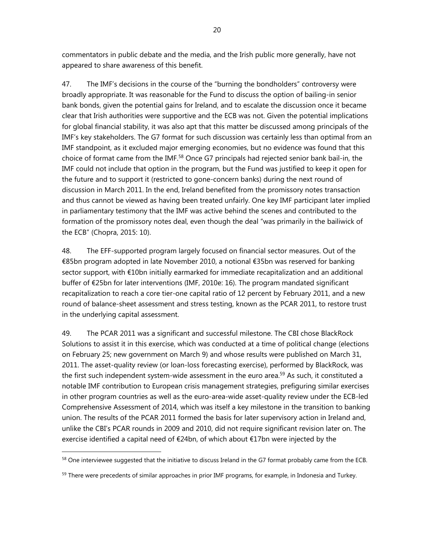commentators in public debate and the media, and the Irish public more generally, have not appeared to share awareness of this benefit.

47. The IMF's decisions in the course of the "burning the bondholders" controversy were broadly appropriate. It was reasonable for the Fund to discuss the option of bailing-in senior bank bonds, given the potential gains for Ireland, and to escalate the discussion once it became clear that Irish authorities were supportive and the ECB was not. Given the potential implications for global financial stability, it was also apt that this matter be discussed among principals of the IMF's key stakeholders. The G7 format for such discussion was certainly less than optimal from an IMF standpoint, as it excluded major emerging economies, but no evidence was found that this choice of format came from the IMF.<sup>58</sup> Once G7 principals had rejected senior bank bail-in, the IMF could not include that option in the program, but the Fund was justified to keep it open for the future and to support it (restricted to gone-concern banks) during the next round of discussion in March 2011. In the end, Ireland benefited from the promissory notes transaction and thus cannot be viewed as having been treated unfairly. One key IMF participant later implied in parliamentary testimony that the IMF was active behind the scenes and contributed to the formation of the promissory notes deal, even though the deal "was primarily in the bailiwick of the ECB" (Chopra, 2015: 10).

48. The EFF-supported program largely focused on financial sector measures. Out of the €85bn program adopted in late November 2010, a notional €35bn was reserved for banking sector support, with €10bn initially earmarked for immediate recapitalization and an additional buffer of €25bn for later interventions (IMF, 2010e: 16). The program mandated significant recapitalization to reach a core tier-one capital ratio of 12 percent by February 2011, and a new round of balance-sheet assessment and stress testing, known as the PCAR 2011, to restore trust in the underlying capital assessment.

49. The PCAR 2011 was a significant and successful milestone. The CBI chose BlackRock Solutions to assist it in this exercise, which was conducted at a time of political change (elections on February 25; new government on March 9) and whose results were published on March 31, 2011. The asset-quality review (or loan-loss forecasting exercise), performed by BlackRock, was the first such independent system-wide assessment in the euro area.<sup>59</sup> As such, it constituted a notable IMF contribution to European crisis management strategies, prefiguring similar exercises in other program countries as well as the euro-area-wide asset-quality review under the ECB-led Comprehensive Assessment of 2014, which was itself a key milestone in the transition to banking union. The results of the PCAR 2011 formed the basis for later supervisory action in Ireland and, unlike the CBI's PCAR rounds in 2009 and 2010, did not require significant revision later on. The exercise identified a capital need of €24bn, of which about €17bn were injected by the

<sup>&</sup>lt;sup>58</sup> One interviewee suggested that the initiative to discuss Ireland in the G7 format probably came from the ECB.

<sup>&</sup>lt;sup>59</sup> There were precedents of similar approaches in prior IMF programs, for example, in Indonesia and Turkey.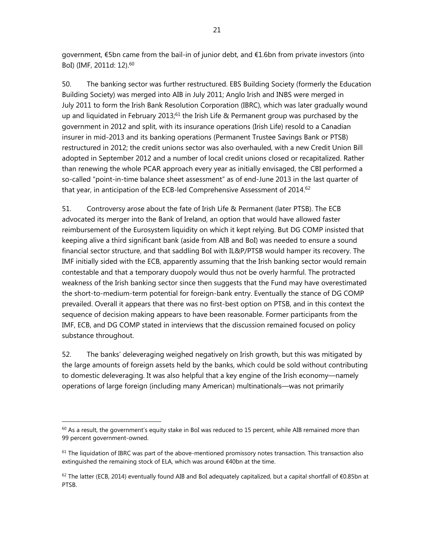government, €5bn came from the bail-in of junior debt, and €1.6bn from private investors (into BoI) (IMF, 2011d: 12).60

50. The banking sector was further restructured. EBS Building Society (formerly the Education Building Society) was merged into AIB in July 2011; Anglo Irish and INBS were merged in July 2011 to form the Irish Bank Resolution Corporation (IBRC), which was later gradually wound up and liquidated in February 2013; $61$  the Irish Life & Permanent group was purchased by the government in 2012 and split, with its insurance operations (Irish Life) resold to a Canadian insurer in mid-2013 and its banking operations (Permanent Trustee Savings Bank or PTSB) restructured in 2012; the credit unions sector was also overhauled, with a new Credit Union Bill adopted in September 2012 and a number of local credit unions closed or recapitalized. Rather than renewing the whole PCAR approach every year as initially envisaged, the CBI performed a so-called "point-in-time balance sheet assessment" as of end-June 2013 in the last quarter of that year, in anticipation of the ECB-led Comprehensive Assessment of 2014.<sup>62</sup>

51. Controversy arose about the fate of Irish Life & Permanent (later PTSB). The ECB advocated its merger into the Bank of Ireland, an option that would have allowed faster reimbursement of the Eurosystem liquidity on which it kept relying. But DG COMP insisted that keeping alive a third significant bank (aside from AIB and BoI) was needed to ensure a sound financial sector structure, and that saddling BoI with IL&P/PTSB would hamper its recovery. The IMF initially sided with the ECB, apparently assuming that the Irish banking sector would remain contestable and that a temporary duopoly would thus not be overly harmful. The protracted weakness of the Irish banking sector since then suggests that the Fund may have overestimated the short-to-medium-term potential for foreign-bank entry. Eventually the stance of DG COMP prevailed. Overall it appears that there was no first-best option on PTSB, and in this context the sequence of decision making appears to have been reasonable. Former participants from the IMF, ECB, and DG COMP stated in interviews that the discussion remained focused on policy substance throughout.

52. The banks' deleveraging weighed negatively on Irish growth, but this was mitigated by the large amounts of foreign assets held by the banks, which could be sold without contributing to domestic deleveraging. It was also helpful that a key engine of the Irish economy—namely operations of large foreign (including many American) multinationals—was not primarily

 $60$  As a result, the government's equity stake in BoI was reduced to 15 percent, while AIB remained more than 99 percent government-owned.

 $61$  The liquidation of IBRC was part of the above-mentioned promissory notes transaction. This transaction also extinguished the remaining stock of ELA, which was around €40bn at the time.

 $62$  The latter (ECB, 2014) eventually found AIB and BoI adequately capitalized, but a capital shortfall of €0.85bn at PTSB.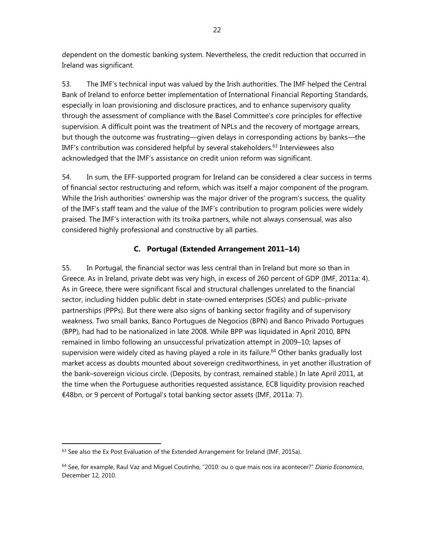dependent on the domestic banking system. Nevertheless, the credit reduction that occurred in Ireland was significant.

53. The IMF's technical input was valued by the Irish authorities. The IMF helped the Central Bank of Ireland to enforce better implementation of International Financial Reporting Standards, especially in loan provisioning and disclosure practices, and to enhance supervisory quality through the assessment of compliance with the Basel Committee's core principles for effective supervision. A difficult point was the treatment of NPLs and the recovery of mortgage arrears, but though the outcome was frustrating—given delays in corresponding actions by banks—the IMF's contribution was considered helpful by several stakeholders.<sup>63</sup> Interviewees also acknowledged that the IMF's assistance on credit union reform was significant.

54. In sum, the EFF-supported program for Ireland can be considered a clear success in terms of financial sector restructuring and reform, which was itself a major component of the program. While the Irish authorities' ownership was the major driver of the program's success, the quality of the IMF's staff team and the value of the IMF's contribution to program policies were widely praised. The IMF's interaction with its troika partners, while not always consensual, was also considered highly professional and constructive by all parties.

# **C. Portugal (Extended Arrangement 2011–14)**

55. In Portugal, the financial sector was less central than in Ireland but more so than in Greece. As in Ireland, private debt was very high, in excess of 260 percent of GDP (IMF, 2011a: 4). As in Greece, there were significant fiscal and structural challenges unrelated to the financial sector, including hidden public debt in state-owned enterprises (SOEs) and public–private partnerships (PPPs). But there were also signs of banking sector fragility and of supervisory weakness. Two small banks, Banco Portugues de Negocios (BPN) and Banco Privado Portugues (BPP), had had to be nationalized in late 2008. While BPP was liquidated in April 2010, BPN remained in limbo following an unsuccessful privatization attempt in 2009–10; lapses of supervision were widely cited as having played a role in its failure.<sup>64</sup> Other banks gradually lost market access as doubts mounted about sovereign creditworthiness, in yet another illustration of the bank–sovereign vicious circle. (Deposits, by contrast, remained stable.) In late April 2011, at the time when the Portuguese authorities requested assistance, ECB liquidity provision reached €48bn, or 9 percent of Portugal's total banking sector assets (IMF, 2011a: 7).

 $63$  See also the Ex Post Evaluation of the Extended Arrangement for Ireland (IMF, 2015a).

<sup>64</sup> See, for example, Raul Vaz and Miguel Coutinho, "2010: ou o que mais nos ira acontecer?" *Diario Economico*, December 12, 2010.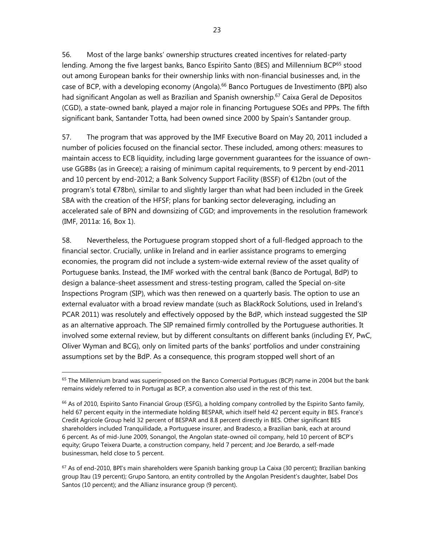56. Most of the large banks' ownership structures created incentives for related-party lending. Among the five largest banks, Banco Espirito Santo (BES) and Millennium BCP<sup>65</sup> stood out among European banks for their ownership links with non-financial businesses and, in the case of BCP, with a developing economy (Angola).66 Banco Portugues de Investimento (BPI) also had significant Angolan as well as Brazilian and Spanish ownership.<sup>67</sup> Caixa Geral de Depositos (CGD), a state-owned bank, played a major role in financing Portuguese SOEs and PPPs. The fifth significant bank, Santander Totta, had been owned since 2000 by Spain's Santander group.

57. The program that was approved by the IMF Executive Board on May 20, 2011 included a number of policies focused on the financial sector. These included, among others: measures to maintain access to ECB liquidity, including large government guarantees for the issuance of ownuse GGBBs (as in Greece); a raising of minimum capital requirements, to 9 percent by end-2011 and 10 percent by end-2012; a Bank Solvency Support Facility (BSSF) of €12bn (out of the program's total €78bn), similar to and slightly larger than what had been included in the Greek SBA with the creation of the HFSF; plans for banking sector deleveraging, including an accelerated sale of BPN and downsizing of CGD; and improvements in the resolution framework (IMF, 2011a: 16, Box 1).

58. Nevertheless, the Portuguese program stopped short of a full-fledged approach to the financial sector. Crucially, unlike in Ireland and in earlier assistance programs to emerging economies, the program did not include a system-wide external review of the asset quality of Portuguese banks. Instead, the IMF worked with the central bank (Banco de Portugal, BdP) to design a balance-sheet assessment and stress-testing program, called the Special on-site Inspections Program (SIP), which was then renewed on a quarterly basis. The option to use an external evaluator with a broad review mandate (such as BlackRock Solutions, used in Ireland's PCAR 2011) was resolutely and effectively opposed by the BdP, which instead suggested the SIP as an alternative approach. The SIP remained firmly controlled by the Portuguese authorities. It involved some external review, but by different consultants on different banks (including EY, PwC, Oliver Wyman and BCG), only on limited parts of the banks' portfolios and under constraining assumptions set by the BdP. As a consequence, this program stopped well short of an

 $65$  The Millennium brand was superimposed on the Banco Comercial Portugues (BCP) name in 2004 but the bank remains widely referred to in Portugal as BCP, a convention also used in the rest of this text.

 $66$  As of 2010, Espirito Santo Financial Group (ESFG), a holding company controlled by the Espirito Santo family, held 67 percent equity in the intermediate holding BESPAR, which itself held 42 percent equity in BES. France's Credit Agricole Group held 32 percent of BESPAR and 8.8 percent directly in BES. Other significant BES shareholders included Tranquilidade, a Portuguese insurer, and Bradesco, a Brazilian bank, each at around 6 percent. As of mid-June 2009, Sonangol, the Angolan state-owned oil company, held 10 percent of BCP's equity; Grupo Teixera Duarte, a construction company, held 7 percent; and Joe Berardo, a self-made businessman, held close to 5 percent.

 $67$  As of end-2010, BPI's main shareholders were Spanish banking group La Caixa (30 percent); Brazilian banking group Itau (19 percent); Grupo Santoro, an entity controlled by the Angolan President's daughter, Isabel Dos Santos (10 percent); and the Allianz insurance group (9 percent).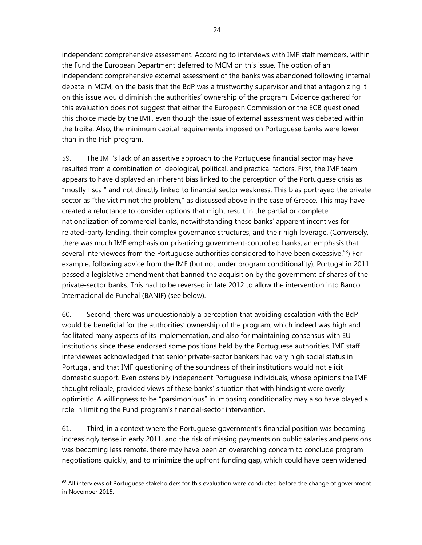independent comprehensive assessment. According to interviews with IMF staff members, within the Fund the European Department deferred to MCM on this issue. The option of an independent comprehensive external assessment of the banks was abandoned following internal debate in MCM, on the basis that the BdP was a trustworthy supervisor and that antagonizing it on this issue would diminish the authorities' ownership of the program. Evidence gathered for this evaluation does not suggest that either the European Commission or the ECB questioned this choice made by the IMF, even though the issue of external assessment was debated within the troika. Also, the minimum capital requirements imposed on Portuguese banks were lower than in the Irish program.

59. The IMF's lack of an assertive approach to the Portuguese financial sector may have resulted from a combination of ideological, political, and practical factors. First, the IMF team appears to have displayed an inherent bias linked to the perception of the Portuguese crisis as "mostly fiscal" and not directly linked to financial sector weakness. This bias portrayed the private sector as "the victim not the problem," as discussed above in the case of Greece. This may have created a reluctance to consider options that might result in the partial or complete nationalization of commercial banks, notwithstanding these banks' apparent incentives for related-party lending, their complex governance structures, and their high leverage. (Conversely, there was much IMF emphasis on privatizing government-controlled banks, an emphasis that several interviewees from the Portuguese authorities considered to have been excessive.<sup>68</sup>) For example, following advice from the IMF (but not under program conditionality), Portugal in 2011 passed a legislative amendment that banned the acquisition by the government of shares of the private-sector banks. This had to be reversed in late 2012 to allow the intervention into Banco Internacional de Funchal (BANIF) (see below).

60. Second, there was unquestionably a perception that avoiding escalation with the BdP would be beneficial for the authorities' ownership of the program, which indeed was high and facilitated many aspects of its implementation, and also for maintaining consensus with EU institutions since these endorsed some positions held by the Portuguese authorities. IMF staff interviewees acknowledged that senior private-sector bankers had very high social status in Portugal, and that IMF questioning of the soundness of their institutions would not elicit domestic support. Even ostensibly independent Portuguese individuals, whose opinions the IMF thought reliable, provided views of these banks' situation that with hindsight were overly optimistic. A willingness to be "parsimonious" in imposing conditionality may also have played a role in limiting the Fund program's financial-sector intervention.

61. Third, in a context where the Portuguese government's financial position was becoming increasingly tense in early 2011, and the risk of missing payments on public salaries and pensions was becoming less remote, there may have been an overarching concern to conclude program negotiations quickly, and to minimize the upfront funding gap, which could have been widened

 $68$  All interviews of Portuguese stakeholders for this evaluation were conducted before the change of government in November 2015.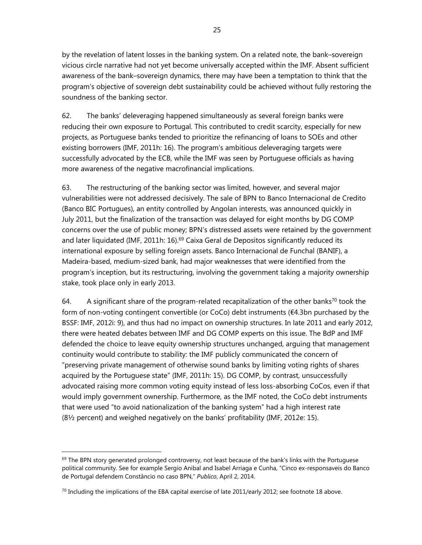by the revelation of latent losses in the banking system. On a related note, the bank–sovereign vicious circle narrative had not yet become universally accepted within the IMF. Absent sufficient awareness of the bank–sovereign dynamics, there may have been a temptation to think that the program's objective of sovereign debt sustainability could be achieved without fully restoring the soundness of the banking sector.

62. The banks' deleveraging happened simultaneously as several foreign banks were reducing their own exposure to Portugal. This contributed to credit scarcity, especially for new projects, as Portuguese banks tended to prioritize the refinancing of loans to SOEs and other existing borrowers (IMF, 2011h: 16). The program's ambitious deleveraging targets were successfully advocated by the ECB, while the IMF was seen by Portuguese officials as having more awareness of the negative macrofinancial implications.

63. The restructuring of the banking sector was limited, however, and several major vulnerabilities were not addressed decisively. The sale of BPN to Banco Internacional de Credito (Banco BIC Portugues), an entity controlled by Angolan interests, was announced quickly in July 2011, but the finalization of the transaction was delayed for eight months by DG COMP concerns over the use of public money; BPN's distressed assets were retained by the government and later liquidated (IMF, 2011h: 16). $69$  Caixa Geral de Depositos significantly reduced its international exposure by selling foreign assets. Banco Internacional de Funchal (BANIF), a Madeira-based, medium-sized bank, had major weaknesses that were identified from the program's inception, but its restructuring, involving the government taking a majority ownership stake, took place only in early 2013.

64. A significant share of the program-related recapitalization of the other banks<sup>70</sup> took the form of non-voting contingent convertible (or CoCo) debt instruments (€4.3bn purchased by the BSSF: IMF, 2012i: 9), and thus had no impact on ownership structures. In late 2011 and early 2012, there were heated debates between IMF and DG COMP experts on this issue. The BdP and IMF defended the choice to leave equity ownership structures unchanged, arguing that management continuity would contribute to stability: the IMF publicly communicated the concern of "preserving private management of otherwise sound banks by limiting voting rights of shares acquired by the Portuguese state" (IMF, 2011h: 15). DG COMP, by contrast, unsuccessfully advocated raising more common voting equity instead of less loss-absorbing CoCos, even if that would imply government ownership. Furthermore, as the IMF noted, the CoCo debt instruments that were used "to avoid nationalization of the banking system" had a high interest rate (8½ percent) and weighed negatively on the banks' profitability (IMF, 2012e: 15).

<sup>&</sup>lt;sup>69</sup> The BPN story generated prolonged controversy, not least because of the bank's links with the Portuguese political community. See for example Sergio Anibal and Isabel Arriaga e Cunha, "Cinco ex-responsaveis do Banco de Portugal defendem Constâncio no caso BPN," *Publico*, April 2, 2014.

 $^{70}$  Including the implications of the EBA capital exercise of late 2011/early 2012; see footnote 18 above.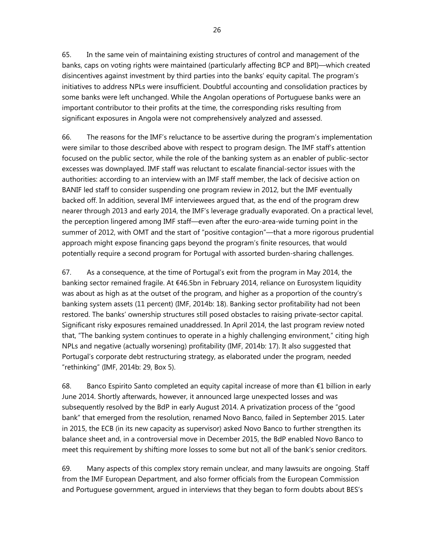26

65. In the same vein of maintaining existing structures of control and management of the banks, caps on voting rights were maintained (particularly affecting BCP and BPI)—which created disincentives against investment by third parties into the banks' equity capital. The program's initiatives to address NPLs were insufficient. Doubtful accounting and consolidation practices by some banks were left unchanged. While the Angolan operations of Portuguese banks were an important contributor to their profits at the time, the corresponding risks resulting from significant exposures in Angola were not comprehensively analyzed and assessed.

66. The reasons for the IMF's reluctance to be assertive during the program's implementation were similar to those described above with respect to program design. The IMF staff's attention focused on the public sector, while the role of the banking system as an enabler of public-sector excesses was downplayed. IMF staff was reluctant to escalate financial-sector issues with the authorities: according to an interview with an IMF staff member, the lack of decisive action on BANIF led staff to consider suspending one program review in 2012, but the IMF eventually backed off. In addition, several IMF interviewees argued that, as the end of the program drew nearer through 2013 and early 2014, the IMF's leverage gradually evaporated. On a practical level, the perception lingered among IMF staff—even after the euro-area-wide turning point in the summer of 2012, with OMT and the start of "positive contagion"—that a more rigorous prudential approach might expose financing gaps beyond the program's finite resources, that would potentially require a second program for Portugal with assorted burden-sharing challenges.

67. As a consequence, at the time of Portugal's exit from the program in May 2014, the banking sector remained fragile. At €46.5bn in February 2014, reliance on Eurosystem liquidity was about as high as at the outset of the program, and higher as a proportion of the country's banking system assets (11 percent) (IMF, 2014b: 18). Banking sector profitability had not been restored. The banks' ownership structures still posed obstacles to raising private-sector capital. Significant risky exposures remained unaddressed. In April 2014, the last program review noted that, "The banking system continues to operate in a highly challenging environment," citing high NPLs and negative (actually worsening) profitability (IMF, 2014b: 17). It also suggested that Portugal's corporate debt restructuring strategy, as elaborated under the program, needed "rethinking" (IMF, 2014b: 29, Box 5).

68. Banco Espirito Santo completed an equity capital increase of more than €1 billion in early June 2014. Shortly afterwards, however, it announced large unexpected losses and was subsequently resolved by the BdP in early August 2014. A privatization process of the "good bank" that emerged from the resolution, renamed Novo Banco, failed in September 2015. Later in 2015, the ECB (in its new capacity as supervisor) asked Novo Banco to further strengthen its balance sheet and, in a controversial move in December 2015, the BdP enabled Novo Banco to meet this requirement by shifting more losses to some but not all of the bank's senior creditors.

69. Many aspects of this complex story remain unclear, and many lawsuits are ongoing. Staff from the IMF European Department, and also former officials from the European Commission and Portuguese government, argued in interviews that they began to form doubts about BES's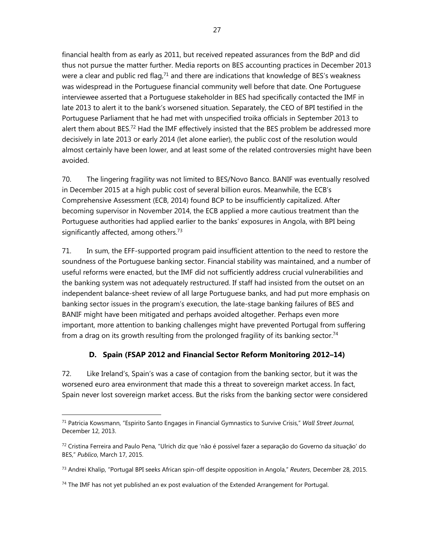financial health from as early as 2011, but received repeated assurances from the BdP and did thus not pursue the matter further. Media reports on BES accounting practices in December 2013 were a clear and public red flag, $71$  and there are indications that knowledge of BES's weakness was widespread in the Portuguese financial community well before that date. One Portuguese interviewee asserted that a Portuguese stakeholder in BES had specifically contacted the IMF in late 2013 to alert it to the bank's worsened situation. Separately, the CEO of BPI testified in the Portuguese Parliament that he had met with unspecified troika officials in September 2013 to alert them about BES.<sup>72</sup> Had the IMF effectively insisted that the BES problem be addressed more decisively in late 2013 or early 2014 (let alone earlier), the public cost of the resolution would almost certainly have been lower, and at least some of the related controversies might have been avoided.

70. The lingering fragility was not limited to BES/Novo Banco. BANIF was eventually resolved in December 2015 at a high public cost of several billion euros. Meanwhile, the ECB's Comprehensive Assessment (ECB, 2014) found BCP to be insufficiently capitalized. After becoming supervisor in November 2014, the ECB applied a more cautious treatment than the Portuguese authorities had applied earlier to the banks' exposures in Angola, with BPI being significantly affected, among others.<sup>73</sup>

71. In sum, the EFF-supported program paid insufficient attention to the need to restore the soundness of the Portuguese banking sector. Financial stability was maintained, and a number of useful reforms were enacted, but the IMF did not sufficiently address crucial vulnerabilities and the banking system was not adequately restructured. If staff had insisted from the outset on an independent balance-sheet review of all large Portuguese banks, and had put more emphasis on banking sector issues in the program's execution, the late-stage banking failures of BES and BANIF might have been mitigated and perhaps avoided altogether. Perhaps even more important, more attention to banking challenges might have prevented Portugal from suffering from a drag on its growth resulting from the prolonged fragility of its banking sector.<sup>74</sup>

# **D. Spain (FSAP 2012 and Financial Sector Reform Monitoring 2012–14)**

72. Like Ireland's, Spain's was a case of contagion from the banking sector, but it was the worsened euro area environment that made this a threat to sovereign market access. In fact, Spain never lost sovereign market access. But the risks from the banking sector were considered

<sup>71</sup> Patricia Kowsmann, "Espirito Santo Engages in Financial Gymnastics to Survive Crisis," *Wall Street Journal*, December 12, 2013.

<sup>72</sup> Cristina Ferreira and Paulo Pena, "Ulrich diz que 'não é possível fazer a separação do Governo da situação' do BES," *Publico*, March 17, 2015.

<sup>73</sup> Andrei Khalip, "Portugal BPI seeks African spin-off despite opposition in Angola," *Reuters*, December 28, 2015.

 $74$  The IMF has not yet published an ex post evaluation of the Extended Arrangement for Portugal.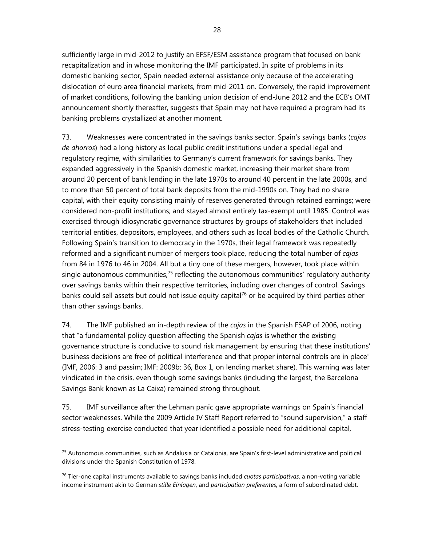sufficiently large in mid-2012 to justify an EFSF/ESM assistance program that focused on bank recapitalization and in whose monitoring the IMF participated. In spite of problems in its domestic banking sector, Spain needed external assistance only because of the accelerating dislocation of euro area financial markets, from mid-2011 on. Conversely, the rapid improvement of market conditions, following the banking union decision of end-June 2012 and the ECB's OMT announcement shortly thereafter, suggests that Spain may not have required a program had its banking problems crystallized at another moment.

73. Weaknesses were concentrated in the savings banks sector. Spain's savings banks (*cajas de ahorros*) had a long history as local public credit institutions under a special legal and regulatory regime, with similarities to Germany's current framework for savings banks. They expanded aggressively in the Spanish domestic market, increasing their market share from around 20 percent of bank lending in the late 1970s to around 40 percent in the late 2000s, and to more than 50 percent of total bank deposits from the mid-1990s on. They had no share capital, with their equity consisting mainly of reserves generated through retained earnings; were considered non-profit institutions; and stayed almost entirely tax-exempt until 1985. Control was exercised through idiosyncratic governance structures by groups of stakeholders that included territorial entities, depositors, employees, and others such as local bodies of the Catholic Church. Following Spain's transition to democracy in the 1970s, their legal framework was repeatedly reformed and a significant number of mergers took place, reducing the total number of *cajas* from 84 in 1976 to 46 in 2004. All but a tiny one of these mergers, however, took place within single autonomous communities, $75$  reflecting the autonomous communities' regulatory authority over savings banks within their respective territories, including over changes of control. Savings banks could sell assets but could not issue equity capital<sup>76</sup> or be acquired by third parties other than other savings banks.

74. The IMF published an in-depth review of the *cajas* in the Spanish FSAP of 2006, noting that "a fundamental policy question affecting the Spanish *cajas* is whether the existing governance structure is conducive to sound risk management by ensuring that these institutions' business decisions are free of political interference and that proper internal controls are in place" (IMF, 2006: 3 and passim; IMF: 2009b: 36, Box 1, on lending market share). This warning was later vindicated in the crisis, even though some savings banks (including the largest, the Barcelona Savings Bank known as La Caixa) remained strong throughout.

75. IMF surveillance after the Lehman panic gave appropriate warnings on Spain's financial sector weaknesses. While the 2009 Article IV Staff Report referred to "sound supervision," a staff stress-testing exercise conducted that year identified a possible need for additional capital,

<sup>75</sup> Autonomous communities, such as Andalusia or Catalonia, are Spain's first-level administrative and political divisions under the Spanish Constitution of 1978.

<sup>76</sup> Tier-one capital instruments available to savings banks included *cuotas participativas*, a non-voting variable income instrument akin to German *stille Einlagen*, and *participation preferentes*, a form of subordinated debt.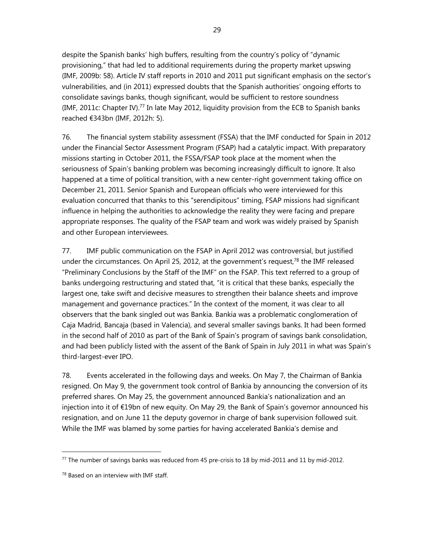despite the Spanish banks' high buffers, resulting from the country's policy of "dynamic provisioning," that had led to additional requirements during the property market upswing (IMF, 2009b: 58). Article IV staff reports in 2010 and 2011 put significant emphasis on the sector's vulnerabilities, and (in 2011) expressed doubts that the Spanish authorities' ongoing efforts to consolidate savings banks, though significant, would be sufficient to restore soundness (IMF, 2011c: Chapter IV).<sup>77</sup> In late May 2012, liquidity provision from the ECB to Spanish banks reached €343bn (IMF, 2012h: 5).

76. The financial system stability assessment (FSSA) that the IMF conducted for Spain in 2012 under the Financial Sector Assessment Program (FSAP) had a catalytic impact. With preparatory missions starting in October 2011, the FSSA/FSAP took place at the moment when the seriousness of Spain's banking problem was becoming increasingly difficult to ignore. It also happened at a time of political transition, with a new center-right government taking office on December 21, 2011. Senior Spanish and European officials who were interviewed for this evaluation concurred that thanks to this "serendipitous" timing, FSAP missions had significant influence in helping the authorities to acknowledge the reality they were facing and prepare appropriate responses. The quality of the FSAP team and work was widely praised by Spanish and other European interviewees.

77. IMF public communication on the FSAP in April 2012 was controversial, but justified under the circumstances. On April 25, 2012, at the government's request,<sup>78</sup> the IMF released "Preliminary Conclusions by the Staff of the IMF" on the FSAP. This text referred to a group of banks undergoing restructuring and stated that, "it is critical that these banks, especially the largest one, take swift and decisive measures to strengthen their balance sheets and improve management and governance practices." In the context of the moment, it was clear to all observers that the bank singled out was Bankia. Bankia was a problematic conglomeration of Caja Madrid, Bancaja (based in Valencia), and several smaller savings banks. It had been formed in the second half of 2010 as part of the Bank of Spain's program of savings bank consolidation, and had been publicly listed with the assent of the Bank of Spain in July 2011 in what was Spain's third-largest-ever IPO.

78. Events accelerated in the following days and weeks. On May 7, the Chairman of Bankia resigned. On May 9, the government took control of Bankia by announcing the conversion of its preferred shares. On May 25, the government announced Bankia's nationalization and an injection into it of €19bn of new equity. On May 29, the Bank of Spain's governor announced his resignation, and on June 11 the deputy governor in charge of bank supervision followed suit. While the IMF was blamed by some parties for having accelerated Bankia's demise and

 $77$  The number of savings banks was reduced from 45 pre-crisis to 18 by mid-2011 and 11 by mid-2012.

<sup>78</sup> Based on an interview with IMF staff.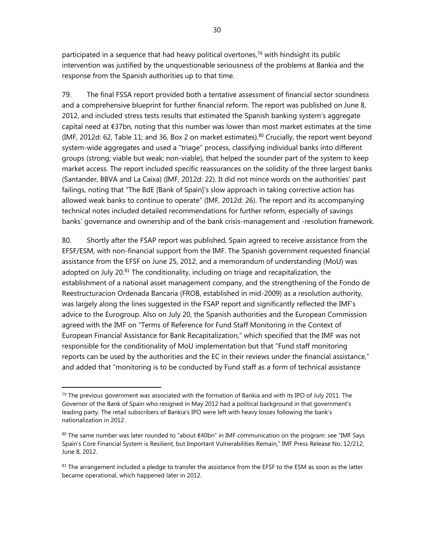participated in a sequence that had heavy political overtones,<sup>79</sup> with hindsight its public intervention was justified by the unquestionable seriousness of the problems at Bankia and the response from the Spanish authorities up to that time.

79. The final FSSA report provided both a tentative assessment of financial sector soundness and a comprehensive blueprint for further financial reform. The report was published on June 8, 2012, and included stress tests results that estimated the Spanish banking system's aggregate capital need at €37bn, noting that this number was lower than most market estimates at the time (IMF, 2012d: 62, Table 11; and 36, Box 2 on market estimates).<sup>80</sup> Crucially, the report went beyond system-wide aggregates and used a "triage" process, classifying individual banks into different groups (strong; viable but weak; non-viable), that helped the sounder part of the system to keep market access. The report included specific reassurances on the solidity of the three largest banks (Santander, BBVA and La Caixa) (IMF, 2012d: 22). It did not mince words on the authorities' past failings, noting that "The BdE [Bank of Spain]'s slow approach in taking corrective action has allowed weak banks to continue to operate" (IMF, 2012d: 26). The report and its accompanying technical notes included detailed recommendations for further reform, especially of savings banks' governance and ownership and of the bank crisis-management and -resolution framework.

80. Shortly after the FSAP report was published, Spain agreed to receive assistance from the EFSF/ESM, with non-financial support from the IMF. The Spanish government requested financial assistance from the EFSF on June 25, 2012, and a memorandum of understanding (MoU) was adopted on July 20.<sup>81</sup> The conditionality, including on triage and recapitalization, the establishment of a national asset management company, and the strengthening of the Fondo de Reestructuracion Ordenada Bancaria (FROB, established in mid-2009) as a resolution authority, was largely along the lines suggested in the FSAP report and significantly reflected the IMF's advice to the Eurogroup. Also on July 20, the Spanish authorities and the European Commission agreed with the IMF on "Terms of Reference for Fund Staff Monitoring in the Context of European Financial Assistance for Bank Recapitalization," which specified that the IMF was not responsible for the conditionality of MoU implementation but that "Fund staff monitoring reports can be used by the authorities and the EC in their reviews under the financial assistance," and added that "monitoring is to be conducted by Fund staff as a form of technical assistance

 $79$  The previous government was associated with the formation of Bankia and with its IPO of July 2011. The Governor of the Bank of Spain who resigned in May 2012 had a political background in that government's leading party. The retail subscribers of Bankia's IPO were left with heavy losses following the bank's nationalization in 2012.

<sup>80</sup> The same number was later rounded to "about €40bn" in IMF communication on the program: see "IMF Says Spain's Core Financial System is Resilient, but Important Vulnerabilities Remain," IMF Press Release No. 12/212, June 8, 2012.

 $81$  The arrangement included a pledge to transfer the assistance from the EFSF to the ESM as soon as the latter became operational, which happened later in 2012.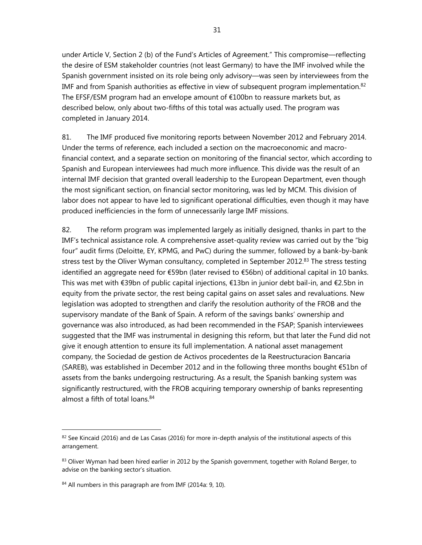under Article V, Section 2 (b) of the Fund's Articles of Agreement." This compromise—reflecting the desire of ESM stakeholder countries (not least Germany) to have the IMF involved while the Spanish government insisted on its role being only advisory—was seen by interviewees from the IMF and from Spanish authorities as effective in view of subsequent program implementation. $82$ The EFSF/ESM program had an envelope amount of €100bn to reassure markets but, as described below, only about two-fifths of this total was actually used. The program was completed in January 2014.

81. The IMF produced five monitoring reports between November 2012 and February 2014. Under the terms of reference, each included a section on the macroeconomic and macrofinancial context, and a separate section on monitoring of the financial sector, which according to Spanish and European interviewees had much more influence. This divide was the result of an internal IMF decision that granted overall leadership to the European Department, even though the most significant section, on financial sector monitoring, was led by MCM. This division of labor does not appear to have led to significant operational difficulties, even though it may have produced inefficiencies in the form of unnecessarily large IMF missions.

82. The reform program was implemented largely as initially designed, thanks in part to the IMF's technical assistance role. A comprehensive asset-quality review was carried out by the "big four" audit firms (Deloitte, EY, KPMG, and PwC) during the summer, followed by a bank-by-bank stress test by the Oliver Wyman consultancy, completed in September 2012.<sup>83</sup> The stress testing identified an aggregate need for €59bn (later revised to €56bn) of additional capital in 10 banks. This was met with €39bn of public capital injections, €13bn in junior debt bail-in, and €2.5bn in equity from the private sector, the rest being capital gains on asset sales and revaluations. New legislation was adopted to strengthen and clarify the resolution authority of the FROB and the supervisory mandate of the Bank of Spain. A reform of the savings banks' ownership and governance was also introduced, as had been recommended in the FSAP; Spanish interviewees suggested that the IMF was instrumental in designing this reform, but that later the Fund did not give it enough attention to ensure its full implementation. A national asset management company, the Sociedad de gestion de Activos procedentes de la Reestructuracion Bancaria (SAREB), was established in December 2012 and in the following three months bought €51bn of assets from the banks undergoing restructuring. As a result, the Spanish banking system was significantly restructured, with the FROB acquiring temporary ownership of banks representing almost a fifth of total loans.<sup>84</sup>

 $82$  See Kincaid (2016) and de Las Casas (2016) for more in-depth analysis of the institutional aspects of this arrangement.

<sup>83</sup> Oliver Wyman had been hired earlier in 2012 by the Spanish government, together with Roland Berger, to advise on the banking sector's situation.

<sup>84</sup> All numbers in this paragraph are from IMF (2014a: 9, 10).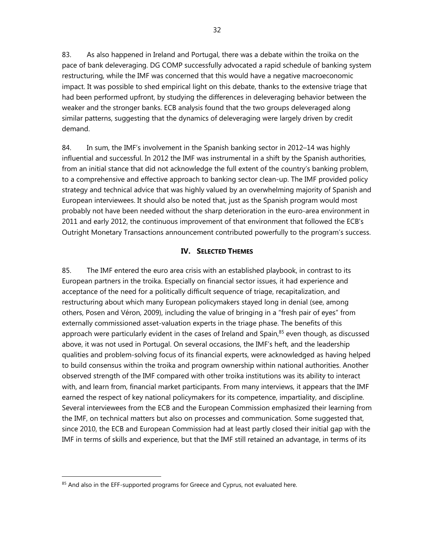83. As also happened in Ireland and Portugal, there was a debate within the troika on the pace of bank deleveraging. DG COMP successfully advocated a rapid schedule of banking system restructuring, while the IMF was concerned that this would have a negative macroeconomic impact. It was possible to shed empirical light on this debate, thanks to the extensive triage that had been performed upfront, by studying the differences in deleveraging behavior between the weaker and the stronger banks. ECB analysis found that the two groups deleveraged along similar patterns, suggesting that the dynamics of deleveraging were largely driven by credit demand.

84. In sum, the IMF's involvement in the Spanish banking sector in 2012–14 was highly influential and successful. In 2012 the IMF was instrumental in a shift by the Spanish authorities, from an initial stance that did not acknowledge the full extent of the country's banking problem, to a comprehensive and effective approach to banking sector clean-up. The IMF provided policy strategy and technical advice that was highly valued by an overwhelming majority of Spanish and European interviewees. It should also be noted that, just as the Spanish program would most probably not have been needed without the sharp deterioration in the euro-area environment in 2011 and early 2012, the continuous improvement of that environment that followed the ECB's Outright Monetary Transactions announcement contributed powerfully to the program's success.

### **IV. SELECTED THEMES**

85. The IMF entered the euro area crisis with an established playbook, in contrast to its European partners in the troika. Especially on financial sector issues, it had experience and acceptance of the need for a politically difficult sequence of triage, recapitalization, and restructuring about which many European policymakers stayed long in denial (see, among others, Posen and Véron, 2009), including the value of bringing in a "fresh pair of eyes" from externally commissioned asset-valuation experts in the triage phase. The benefits of this approach were particularly evident in the cases of Ireland and Spain,<sup>85</sup> even though, as discussed above, it was not used in Portugal. On several occasions, the IMF's heft, and the leadership qualities and problem-solving focus of its financial experts, were acknowledged as having helped to build consensus within the troika and program ownership within national authorities. Another observed strength of the IMF compared with other troika institutions was its ability to interact with, and learn from, financial market participants. From many interviews, it appears that the IMF earned the respect of key national policymakers for its competence, impartiality, and discipline. Several interviewees from the ECB and the European Commission emphasized their learning from the IMF, on technical matters but also on processes and communication. Some suggested that, since 2010, the ECB and European Commission had at least partly closed their initial gap with the IMF in terms of skills and experience, but that the IMF still retained an advantage, in terms of its

<sup>85</sup> And also in the EFF-supported programs for Greece and Cyprus, not evaluated here.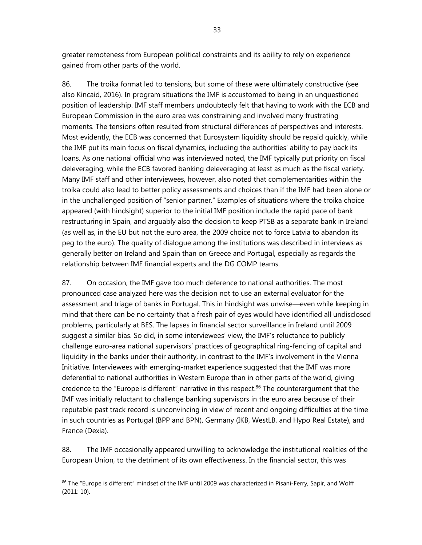greater remoteness from European political constraints and its ability to rely on experience gained from other parts of the world.

86. The troika format led to tensions, but some of these were ultimately constructive (see also Kincaid, 2016). In program situations the IMF is accustomed to being in an unquestioned position of leadership. IMF staff members undoubtedly felt that having to work with the ECB and European Commission in the euro area was constraining and involved many frustrating moments. The tensions often resulted from structural differences of perspectives and interests. Most evidently, the ECB was concerned that Eurosystem liquidity should be repaid quickly, while the IMF put its main focus on fiscal dynamics, including the authorities' ability to pay back its loans. As one national official who was interviewed noted, the IMF typically put priority on fiscal deleveraging, while the ECB favored banking deleveraging at least as much as the fiscal variety. Many IMF staff and other interviewees, however, also noted that complementarities within the troika could also lead to better policy assessments and choices than if the IMF had been alone or in the unchallenged position of "senior partner." Examples of situations where the troika choice appeared (with hindsight) superior to the initial IMF position include the rapid pace of bank restructuring in Spain, and arguably also the decision to keep PTSB as a separate bank in Ireland (as well as, in the EU but not the euro area, the 2009 choice not to force Latvia to abandon its peg to the euro). The quality of dialogue among the institutions was described in interviews as generally better on Ireland and Spain than on Greece and Portugal, especially as regards the relationship between IMF financial experts and the DG COMP teams.

87. On occasion, the IMF gave too much deference to national authorities. The most pronounced case analyzed here was the decision not to use an external evaluator for the assessment and triage of banks in Portugal. This in hindsight was unwise—even while keeping in mind that there can be no certainty that a fresh pair of eyes would have identified all undisclosed problems, particularly at BES. The lapses in financial sector surveillance in Ireland until 2009 suggest a similar bias. So did, in some interviewees' view, the IMF's reluctance to publicly challenge euro-area national supervisors' practices of geographical ring-fencing of capital and liquidity in the banks under their authority, in contrast to the IMF's involvement in the Vienna Initiative. Interviewees with emerging-market experience suggested that the IMF was more deferential to national authorities in Western Europe than in other parts of the world, giving credence to the "Europe is different" narrative in this respect.<sup>86</sup> The counterargument that the IMF was initially reluctant to challenge banking supervisors in the euro area because of their reputable past track record is unconvincing in view of recent and ongoing difficulties at the time in such countries as Portugal (BPP and BPN), Germany (IKB, WestLB, and Hypo Real Estate), and France (Dexia).

88. The IMF occasionally appeared unwilling to acknowledge the institutional realities of the European Union, to the detriment of its own effectiveness. In the financial sector, this was

<sup>86</sup> The "Europe is different" mindset of the IMF until 2009 was characterized in Pisani-Ferry, Sapir, and Wolff (2011: 10).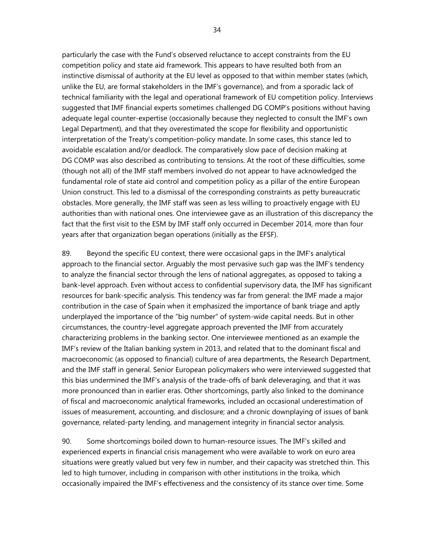particularly the case with the Fund's observed reluctance to accept constraints from the EU competition policy and state aid framework. This appears to have resulted both from an instinctive dismissal of authority at the EU level as opposed to that within member states (which, unlike the EU, are formal stakeholders in the IMF's governance), and from a sporadic lack of technical familiarity with the legal and operational framework of EU competition policy. Interviews suggested that IMF financial experts sometimes challenged DG COMP's positions without having adequate legal counter-expertise (occasionally because they neglected to consult the IMF's own Legal Department), and that they overestimated the scope for flexibility and opportunistic interpretation of the Treaty's competition-policy mandate. In some cases, this stance led to avoidable escalation and/or deadlock. The comparatively slow pace of decision making at DG COMP was also described as contributing to tensions. At the root of these difficulties, some (though not all) of the IMF staff members involved do not appear to have acknowledged the fundamental role of state aid control and competition policy as a pillar of the entire European Union construct. This led to a dismissal of the corresponding constraints as petty bureaucratic obstacles. More generally, the IMF staff was seen as less willing to proactively engage with EU authorities than with national ones. One interviewee gave as an illustration of this discrepancy the fact that the first visit to the ESM by IMF staff only occurred in December 2014, more than four years after that organization began operations (initially as the EFSF).

89. Beyond the specific EU context, there were occasional gaps in the IMF's analytical approach to the financial sector. Arguably the most pervasive such gap was the IMF's tendency to analyze the financial sector through the lens of national aggregates, as opposed to taking a bank-level approach. Even without access to confidential supervisory data, the IMF has significant resources for bank-specific analysis. This tendency was far from general: the IMF made a major contribution in the case of Spain when it emphasized the importance of bank triage and aptly underplayed the importance of the "big number" of system-wide capital needs. But in other circumstances, the country-level aggregate approach prevented the IMF from accurately characterizing problems in the banking sector. One interviewee mentioned as an example the IMF's review of the Italian banking system in 2013, and related that to the dominant fiscal and macroeconomic (as opposed to financial) culture of area departments, the Research Department, and the IMF staff in general. Senior European policymakers who were interviewed suggested that this bias undermined the IMF's analysis of the trade-offs of bank deleveraging, and that it was more pronounced than in earlier eras. Other shortcomings, partly also linked to the dominance of fiscal and macroeconomic analytical frameworks, included an occasional underestimation of issues of measurement, accounting, and disclosure; and a chronic downplaying of issues of bank governance, related-party lending, and management integrity in financial sector analysis.

90. Some shortcomings boiled down to human-resource issues. The IMF's skilled and experienced experts in financial crisis management who were available to work on euro area situations were greatly valued but very few in number, and their capacity was stretched thin. This led to high turnover, including in comparison with other institutions in the troika, which occasionally impaired the IMF's effectiveness and the consistency of its stance over time. Some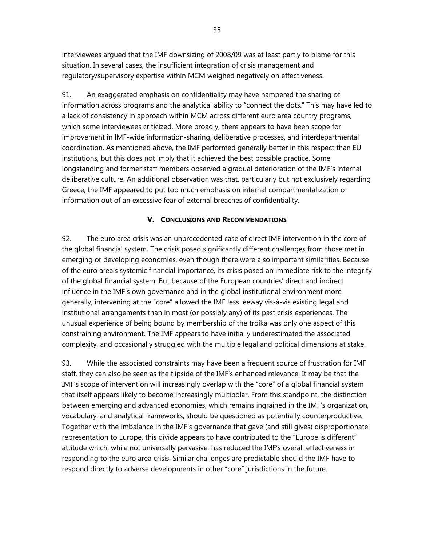interviewees argued that the IMF downsizing of 2008/09 was at least partly to blame for this situation. In several cases, the insufficient integration of crisis management and regulatory/supervisory expertise within MCM weighed negatively on effectiveness.

91. An exaggerated emphasis on confidentiality may have hampered the sharing of information across programs and the analytical ability to "connect the dots." This may have led to a lack of consistency in approach within MCM across different euro area country programs, which some interviewees criticized. More broadly, there appears to have been scope for improvement in IMF-wide information-sharing, deliberative processes, and interdepartmental coordination. As mentioned above, the IMF performed generally better in this respect than EU institutions, but this does not imply that it achieved the best possible practice. Some longstanding and former staff members observed a gradual deterioration of the IMF's internal deliberative culture. An additional observation was that, particularly but not exclusively regarding Greece, the IMF appeared to put too much emphasis on internal compartmentalization of information out of an excessive fear of external breaches of confidentiality.

# **V. CONCLUSIONS AND RECOMMENDATIONS**

92. The euro area crisis was an unprecedented case of direct IMF intervention in the core of the global financial system. The crisis posed significantly different challenges from those met in emerging or developing economies, even though there were also important similarities. Because of the euro area's systemic financial importance, its crisis posed an immediate risk to the integrity of the global financial system. But because of the European countries' direct and indirect influence in the IMF's own governance and in the global institutional environment more generally, intervening at the "core" allowed the IMF less leeway vis-à-vis existing legal and institutional arrangements than in most (or possibly any) of its past crisis experiences. The unusual experience of being bound by membership of the troika was only one aspect of this constraining environment. The IMF appears to have initially underestimated the associated complexity, and occasionally struggled with the multiple legal and political dimensions at stake.

93. While the associated constraints may have been a frequent source of frustration for IMF staff, they can also be seen as the flipside of the IMF's enhanced relevance. It may be that the IMF's scope of intervention will increasingly overlap with the "core" of a global financial system that itself appears likely to become increasingly multipolar. From this standpoint, the distinction between emerging and advanced economies, which remains ingrained in the IMF's organization, vocabulary, and analytical frameworks, should be questioned as potentially counterproductive. Together with the imbalance in the IMF's governance that gave (and still gives) disproportionate representation to Europe, this divide appears to have contributed to the "Europe is different" attitude which, while not universally pervasive, has reduced the IMF's overall effectiveness in responding to the euro area crisis. Similar challenges are predictable should the IMF have to respond directly to adverse developments in other "core" jurisdictions in the future.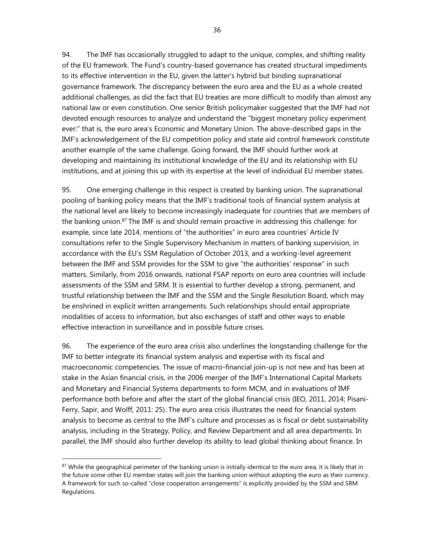94. The IMF has occasionally struggled to adapt to the unique, complex, and shifting reality of the EU framework. The Fund's country-based governance has created structural impediments to its effective intervention in the EU, given the latter's hybrid but binding supranational governance framework. The discrepancy between the euro area and the EU as a whole created additional challenges, as did the fact that EU treaties are more difficult to modify than almost any national law or even constitution. One senior British policymaker suggested that the IMF had not devoted enough resources to analyze and understand the "biggest monetary policy experiment ever:" that is, the euro area's Economic and Monetary Union. The above-described gaps in the IMF's acknowledgement of the EU competition policy and state aid control framework constitute another example of the same challenge. Going forward, the IMF should further work at developing and maintaining its institutional knowledge of the EU and its relationship with EU institutions, and at joining this up with its expertise at the level of individual EU member states.

95. One emerging challenge in this respect is created by banking union. The supranational pooling of banking policy means that the IMF's traditional tools of financial system analysis at the national level are likely to become increasingly inadequate for countries that are members of the banking union.87 The IMF is and should remain proactive in addressing this challenge: for example, since late 2014, mentions of "the authorities" in euro area countries' Article IV consultations refer to the Single Supervisory Mechanism in matters of banking supervision, in accordance with the EU's SSM Regulation of October 2013, and a working-level agreement between the IMF and SSM provides for the SSM to give "the authorities' response" in such matters. Similarly, from 2016 onwards, national FSAP reports on euro area countries will include assessments of the SSM and SRM. It is essential to further develop a strong, permanent, and trustful relationship between the IMF and the SSM and the Single Resolution Board, which may be enshrined in explicit written arrangements. Such relationships should entail appropriate modalities of access to information, but also exchanges of staff and other ways to enable effective interaction in surveillance and in possible future crises.

96. The experience of the euro area crisis also underlines the longstanding challenge for the IMF to better integrate its financial system analysis and expertise with its fiscal and macroeconomic competencies. The issue of macro-financial join-up is not new and has been at stake in the Asian financial crisis, in the 2006 merger of the IMF's International Capital Markets and Monetary and Financial Systems departments to form MCM, and in evaluations of IMF performance both before and after the start of the global financial crisis (IEO, 2011, 2014; Pisani-Ferry, Sapir, and Wolff, 2011: 25). The euro area crisis illustrates the need for financial system analysis to become as central to the IMF's culture and processes as is fiscal or debt sustainability analysis, including in the Strategy, Policy, and Review Department and all area departments. In parallel, the IMF should also further develop its ability to lead global thinking about finance. In

 $87$  While the geographical perimeter of the banking union is initially identical to the euro area, it is likely that in the future some other EU member states will join the banking union without adopting the euro as their currency. A framework for such so-called "close cooperation arrangements" is explicitly provided by the SSM and SRM Regulations.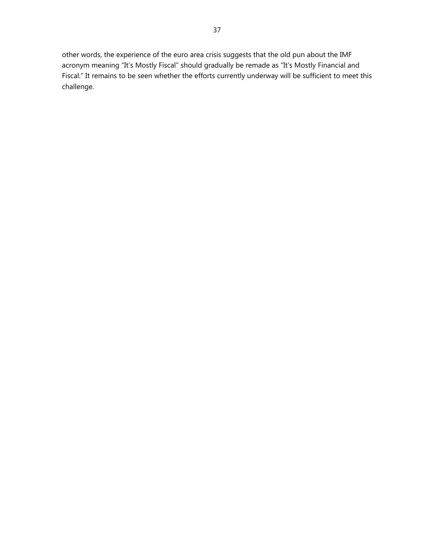other words, the experience of the euro area crisis suggests that the old pun about the IMF acronym meaning "It's Mostly Fiscal" should gradually be remade as "It's Mostly Financial and Fiscal." It remains to be seen whether the efforts currently underway will be sufficient to meet this challenge.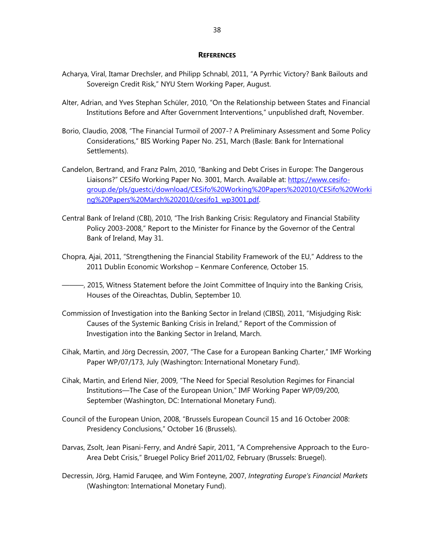#### **REFERENCES**

- Acharya, Viral, Itamar Drechsler, and Philipp Schnabl, 2011, "A Pyrrhic Victory? Bank Bailouts and Sovereign Credit Risk," NYU Stern Working Paper, August.
- Alter, Adrian, and Yves Stephan Schüler, 2010, "On the Relationship between States and Financial Institutions Before and After Government Interventions," unpublished draft, November.
- Borio, Claudio, 2008, "The Financial Turmoil of 2007-? A Preliminary Assessment and Some Policy Considerations," BIS Working Paper No. 251, March (Basle: Bank for International Settlements).
- Candelon, Bertrand, and Franz Palm, 2010, "Banking and Debt Crises in Europe: The Dangerous Liaisons?" CESifo Working Paper No. 3001, March. Available at: https://www.cesifogroup.de/pls/guestci/download/CESifo%20Working%20Papers%202010/CESifo%20Worki ng%20Papers%20March%202010/cesifo1\_wp3001.pdf.
- Central Bank of Ireland (CBI), 2010, "The Irish Banking Crisis: Regulatory and Financial Stability Policy 2003-2008," Report to the Minister for Finance by the Governor of the Central Bank of Ireland, May 31.
- Chopra, Ajai, 2011, "Strengthening the Financial Stability Framework of the EU," Address to the 2011 Dublin Economic Workshop – Kenmare Conference, October 15.
- ———, 2015, Witness Statement before the Joint Committee of Inquiry into the Banking Crisis, Houses of the Oireachtas, Dublin, September 10.
- Commission of Investigation into the Banking Sector in Ireland (CIBSI), 2011, "Misjudging Risk: Causes of the Systemic Banking Crisis in Ireland," Report of the Commission of Investigation into the Banking Sector in Ireland, March.
- Cihak, Martin, and Jörg Decressin, 2007, "The Case for a European Banking Charter," IMF Working Paper WP/07/173, July (Washington: International Monetary Fund).
- Cihak, Martin, and Erlend Nier, 2009, "The Need for Special Resolution Regimes for Financial Institutions—The Case of the European Union," IMF Working Paper WP/09/200, September (Washington, DC: International Monetary Fund).
- Council of the European Union, 2008, "Brussels European Council 15 and 16 October 2008: Presidency Conclusions," October 16 (Brussels).
- Darvas, Zsolt, Jean Pisani-Ferry, and André Sapir, 2011, "A Comprehensive Approach to the Euro-Area Debt Crisis," Bruegel Policy Brief 2011/02, February (Brussels: Bruegel).
- Decressin, Jörg, Hamid Faruqee, and Wim Fonteyne, 2007, *Integrating Europe's Financial Markets* (Washington: International Monetary Fund).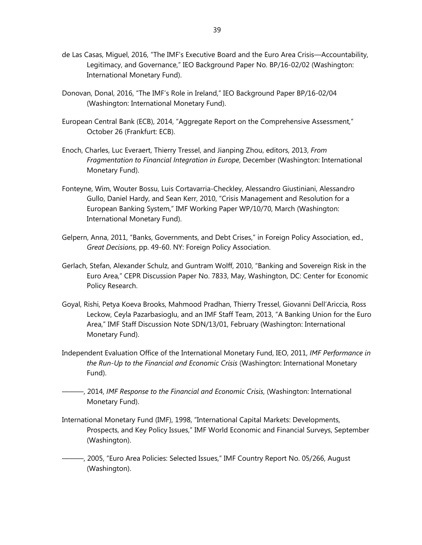- de Las Casas, Miguel, 2016, "The IMF's Executive Board and the Euro Area Crisis—Accountability, Legitimacy, and Governance," IEO Background Paper No. BP/16-02/02 (Washington: International Monetary Fund).
- Donovan, Donal, 2016, "The IMF's Role in Ireland," IEO Background Paper BP/16-02/04 (Washington: International Monetary Fund).
- European Central Bank (ECB), 2014, "Aggregate Report on the Comprehensive Assessment," October 26 (Frankfurt: ECB).
- Enoch, Charles, Luc Everaert, Thierry Tressel, and Jianping Zhou, editors, 2013, *From Fragmentation to Financial Integration in Europe*, December (Washington: International Monetary Fund).
- Fonteyne, Wim, Wouter Bossu, Luis Cortavarria-Checkley, Alessandro Giustiniani, Alessandro Gullo, Daniel Hardy, and Sean Kerr, 2010, "Crisis Management and Resolution for a European Banking System," IMF Working Paper WP/10/70, March (Washington: International Monetary Fund).
- Gelpern, Anna, 2011, "Banks, Governments, and Debt Crises," in Foreign Policy Association, ed., *Great Decisions*, pp. 49-60. NY: Foreign Policy Association.
- Gerlach, Stefan, Alexander Schulz, and Guntram Wolff, 2010, "Banking and Sovereign Risk in the Euro Area," CEPR Discussion Paper No. 7833, May, Washington, DC: Center for Economic Policy Research.
- Goyal, Rishi, Petya Koeva Brooks, Mahmood Pradhan, Thierry Tressel, Giovanni Dell'Ariccia, Ross Leckow, Ceyla Pazarbasioglu, and an IMF Staff Team, 2013, "A Banking Union for the Euro Area," IMF Staff Discussion Note SDN/13/01, February (Washington: International Monetary Fund).
- Independent Evaluation Office of the International Monetary Fund, IEO, 2011, *IMF Performance in the Run-Up to the Financial and Economic Crisis* (Washington: International Monetary Fund).
	- ———, 2014, *IMF Response to the Financial and Economic Crisis*, (Washington: International Monetary Fund).
- International Monetary Fund (IMF), 1998, "International Capital Markets: Developments, Prospects, and Key Policy Issues," IMF World Economic and Financial Surveys, September (Washington).
- ———, 2005, "Euro Area Policies: Selected Issues," IMF Country Report No. 05/266, August (Washington).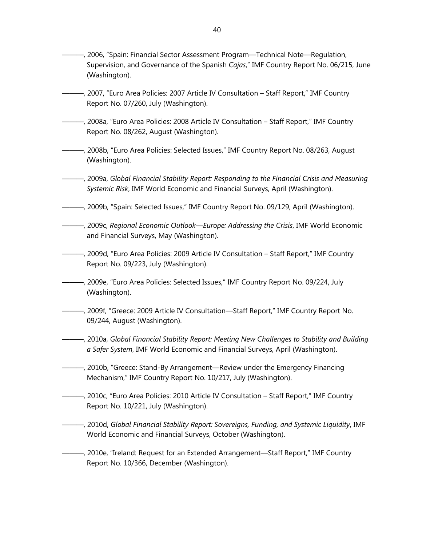- ———, 2006, "Spain: Financial Sector Assessment Program—Technical Note—Regulation, Supervision, and Governance of the Spanish *Cajas*," IMF Country Report No. 06/215, June (Washington).
- ———, 2007, "Euro Area Policies: 2007 Article IV Consultation Staff Report," IMF Country Report No. 07/260, July (Washington).
- ———, 2008a, "Euro Area Policies: 2008 Article IV Consultation Staff Report," IMF Country Report No. 08/262, August (Washington).
- ———, 2008b, "Euro Area Policies: Selected Issues," IMF Country Report No. 08/263, August (Washington).
- ———, 2009a, *Global Financial Stability Report: Responding to the Financial Crisis and Measuring Systemic Risk*, IMF World Economic and Financial Surveys, April (Washington).
- ———, 2009b, "Spain: Selected Issues," IMF Country Report No. 09/129, April (Washington).
- ———, 2009c, *Regional Economic Outlook—Europe: Addressing the Crisis*, IMF World Economic and Financial Surveys, May (Washington).
- ———, 2009d, "Euro Area Policies: 2009 Article IV Consultation Staff Report," IMF Country Report No. 09/223, July (Washington).
- ———, 2009e, "Euro Area Policies: Selected Issues," IMF Country Report No. 09/224, July (Washington).
- ———, 2009f, "Greece: 2009 Article IV Consultation—Staff Report," IMF Country Report No. 09/244, August (Washington).
- ———, 2010a, *Global Financial Stability Report: Meeting New Challenges to Stability and Building a Safer System*, IMF World Economic and Financial Surveys, April (Washington).
- ———, 2010b, "Greece: Stand-By Arrangement—Review under the Emergency Financing Mechanism," IMF Country Report No. 10/217, July (Washington).
- ———, 2010c, "Euro Area Policies: 2010 Article IV Consultation Staff Report," IMF Country Report No. 10/221, July (Washington).
- ———, 2010d, *Global Financial Stability Report: Sovereigns, Funding, and Systemic Liquidity*, IMF World Economic and Financial Surveys, October (Washington).
- ———, 2010e, "Ireland: Request for an Extended Arrangement—Staff Report," IMF Country Report No. 10/366, December (Washington).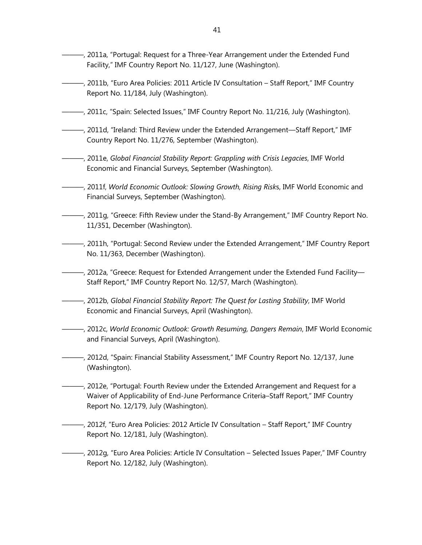- ———, 2011a, "Portugal: Request for a Three-Year Arrangement under the Extended Fund Facility," IMF Country Report No. 11/127, June (Washington).
- ———, 2011b, "Euro Area Policies: 2011 Article IV Consultation Staff Report," IMF Country Report No. 11/184, July (Washington).
- ———, 2011c, "Spain: Selected Issues," IMF Country Report No. 11/216, July (Washington).
- ———, 2011d, "Ireland: Third Review under the Extended Arrangement—Staff Report," IMF Country Report No. 11/276, September (Washington).
- ———, 2011e, *Global Financial Stability Report: Grappling with Crisis Legacies*, IMF World Economic and Financial Surveys, September (Washington).
- ———, 2011f, *World Economic Outlook: Slowing Growth, Rising Risk*s, IMF World Economic and Financial Surveys, September (Washington).
- ———, 2011g, "Greece: Fifth Review under the Stand-By Arrangement," IMF Country Report No. 11/351, December (Washington).
- ———, 2011h, "Portugal: Second Review under the Extended Arrangement," IMF Country Report No. 11/363, December (Washington).
- ———, 2012a, "Greece: Request for Extended Arrangement under the Extended Fund Facility— Staff Report," IMF Country Report No. 12/57, March (Washington).
- ———, 2012b, *Global Financial Stability Report: The Quest for Lasting Stability*, IMF World Economic and Financial Surveys, April (Washington).
- ———, 2012c, *World Economic Outlook: Growth Resuming, Dangers Remain*, IMF World Economic and Financial Surveys, April (Washington).
- ———, 2012d, "Spain: Financial Stability Assessment," IMF Country Report No. 12/137, June (Washington).
- ———, 2012e, "Portugal: Fourth Review under the Extended Arrangement and Request for a Waiver of Applicability of End-June Performance Criteria–Staff Report," IMF Country Report No. 12/179, July (Washington).
- ———, 2012f, "Euro Area Policies: 2012 Article IV Consultation Staff Report," IMF Country Report No. 12/181, July (Washington).
- ———, 2012g, "Euro Area Policies: Article IV Consultation Selected Issues Paper," IMF Country Report No. 12/182, July (Washington).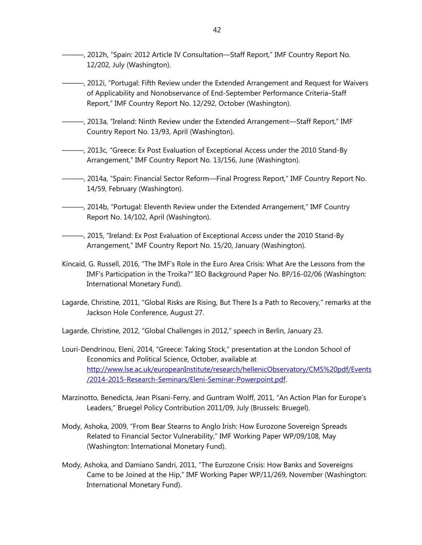- ———, 2012h, "Spain: 2012 Article IV Consultation—Staff Report," IMF Country Report No. 12/202, July (Washington).
- ———, 2012i, "Portugal: Fifth Review under the Extended Arrangement and Request for Waivers of Applicability and Nonobservance of End-September Performance Criteria–Staff Report," IMF Country Report No. 12/292, October (Washington).
- ———, 2013a, "Ireland: Ninth Review under the Extended Arrangement—Staff Report," IMF Country Report No. 13/93, April (Washington).
- ———, 2013c, "Greece: Ex Post Evaluation of Exceptional Access under the 2010 Stand-By Arrangement," IMF Country Report No. 13/156, June (Washington).
- ———, 2014a, "Spain: Financial Sector Reform—Final Progress Report," IMF Country Report No. 14/59, February (Washington).
- ———, 2014b, "Portugal: Eleventh Review under the Extended Arrangement," IMF Country Report No. 14/102, April (Washington).
- ———, 2015, "Ireland: Ex Post Evaluation of Exceptional Access under the 2010 Stand-By Arrangement," IMF Country Report No. 15/20, January (Washington).
- Kincaid, G. Russell, 2016, "The IMF's Role in the Euro Area Crisis: What Are the Lessons from the IMF's Participation in the Troika?" IEO Background Paper No. BP/16-02/06 (Washington: International Monetary Fund).
- Lagarde, Christine, 2011, "Global Risks are Rising, But There Is a Path to Recovery," remarks at the Jackson Hole Conference, August 27.

Lagarde, Christine, 2012, "Global Challenges in 2012," speech in Berlin, January 23.

- Louri-Dendrinou, Eleni, 2014, "Greece: Taking Stock," presentation at the London School of Economics and Political Science, October, available at http://www.lse.ac.uk/europeanInstitute/research/hellenicObservatory/CMS%20pdf/Events /2014-2015-Research-Seminars/Eleni-Seminar-Powerpoint.pdf.
- Marzinotto, Benedicta, Jean Pisani-Ferry, and Guntram Wolff, 2011, "An Action Plan for Europe's Leaders," Bruegel Policy Contribution 2011/09, July (Brussels: Bruegel).
- Mody, Ashoka, 2009, "From Bear Stearns to Anglo Irish: How Eurozone Sovereign Spreads Related to Financial Sector Vulnerability," IMF Working Paper WP/09/108, May (Washington: International Monetary Fund).
- Mody, Ashoka, and Damiano Sandri, 2011, "The Eurozone Crisis: How Banks and Sovereigns Came to be Joined at the Hip," IMF Working Paper WP/11/269, November (Washington: International Monetary Fund).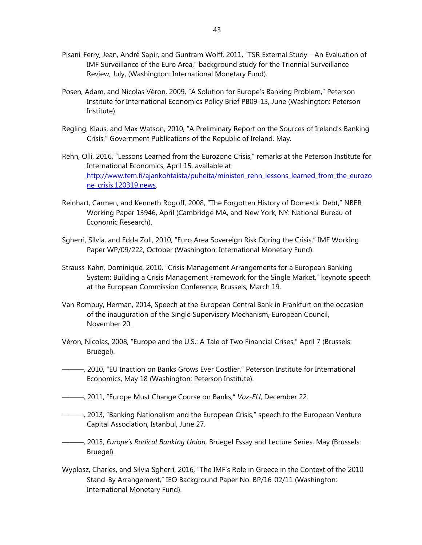- Pisani-Ferry, Jean, André Sapir, and Guntram Wolff, 2011, "TSR External Study—An Evaluation of IMF Surveillance of the Euro Area," background study for the Triennial Surveillance Review, July, (Washington: International Monetary Fund).
- Posen, Adam, and Nicolas Véron, 2009, "A Solution for Europe's Banking Problem," Peterson Institute for International Economics Policy Brief PB09-13, June (Washington: Peterson Institute).
- Regling, Klaus, and Max Watson, 2010, "A Preliminary Report on the Sources of Ireland's Banking Crisis," Government Publications of the Republic of Ireland, May.
- Rehn, Olli, 2016, "Lessons Learned from the Eurozone Crisis," remarks at the Peterson Institute for International Economics, April 15, available at http://www.tem.fi/ajankohtaista/puheita/ministeri\_rehn\_lessons\_learned\_from\_the\_eurozo ne\_crisis.120319.news.
- Reinhart, Carmen, and Kenneth Rogoff, 2008, "The Forgotten History of Domestic Debt," NBER Working Paper 13946, April (Cambridge MA, and New York, NY: National Bureau of Economic Research).
- Sgherri, Silvia, and Edda Zoli, 2010, "Euro Area Sovereign Risk During the Crisis," IMF Working Paper WP/09/222, October (Washington: International Monetary Fund).
- Strauss-Kahn, Dominique, 2010, "Crisis Management Arrangements for a European Banking System: Building a Crisis Management Framework for the Single Market," keynote speech at the European Commission Conference, Brussels, March 19.
- Van Rompuy, Herman, 2014, Speech at the European Central Bank in Frankfurt on the occasion of the inauguration of the Single Supervisory Mechanism, European Council, November 20.
- Véron, Nicolas, 2008, "Europe and the U.S.: A Tale of Two Financial Crises," April 7 (Brussels: Bruegel).
- ———, 2010, "EU Inaction on Banks Grows Ever Costlier," Peterson Institute for International Economics, May 18 (Washington: Peterson Institute).
- ———, 2011, "Europe Must Change Course on Banks," *Vox-EU*, December 22.
- ———, 2013, "Banking Nationalism and the European Crisis," speech to the European Venture Capital Association, Istanbul, June 27.
- ———, 2015, *Europe's Radical Banking Union*, Bruegel Essay and Lecture Series, May (Brussels: Bruegel).
- Wyplosz, Charles, and Silvia Sgherri, 2016, "The IMF's Role in Greece in the Context of the 2010 Stand-By Arrangement," IEO Background Paper No. BP/16-02/11 (Washington: International Monetary Fund).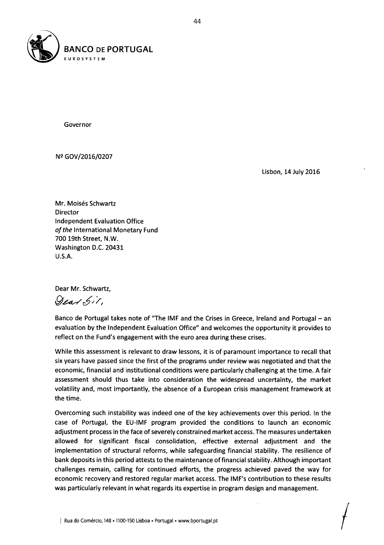

Nº GOV/2016/0207

Lisbon, 14 July 2016

Mr. Moisés Schwartz Director Independent Evaluation Office *of the* International Monetary Fund 700 19th Street, N.W. Washington D.C. 20431 U.S.A.

Dear Mr. Schwartz,

Dear Sit,

Banco de Portugal takes note of "The IMF and the Crises in Greece, Ireland and Portugal - an evaluation by the Independent Evaluation Office" and welcomes the opportunity it provides to reflect on the Fund's engagement with the euro area during these crises.

While this assessment is relevant to draw lessons, it is of paramount importance to recall that six years have passed since the first of the programs under review was negotiated and that the economic, financial and institutional conditions were particularly challenging at the time. A fair assessment should thus take into consideration the widespread uncertainty, the market volatility and, most importantly, the absence of a European crisis management framework at the time.

Overcoming such instability was indeed one of the key achievements over this period. In the case of Portugal, the EU-IMF program provided the conditions to launch an economic adjustment process in the face of severely constrained market access. The measures undertaken allowed for significant fiscal consolidation, effective external adjustment and the implementation of structural reforms, while safeguarding financial stability. The resilience of bank deposits in this period attests to the maintenance offinancial stability. Although important challenges remain, calling for continued efforts, the progress achieved paved the way for economic recovery and restored regular market access. The IMF's contribution to these results was particularly relevant in what regards its expertise in program design and management.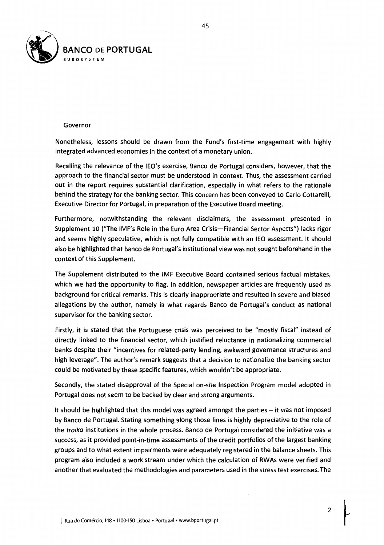

Nonetheless, lessons should be drawn from the Fund's first-time engagement with highly integrated advanced economies in the context of a monetary union.

Recalling the relevance of the IEO's exercise, Banco de Portugal considers, however, that the approach to the financial sector must be understood in context. Thus, the assessment carried out in the report requires substantial clarification, especially in what refers to the rationale behind the strategy for the banking sector. This concern has been conveyed to Carlo Cottarelli, Executive Director for Portugal, in preparation of the Executive Board meeting.

Furthermore, notwithstanding the relevant disclaimers, the assessment presented in Supplement 10 ("The IMF's Role in the Euro Area Crisis-Financial Sector Aspects") lacks rigor and seems highly speculative, which is not fully compatible with an IEO assessment. It should also be highlighted that Banco de Portugal's institutional view was not sought beforehand in the context of this Supplement.

The Supplement distributed to the IMF Executive Board contained serious factual mistakes, which we had the opportunity to flag. In addition, newspaper articles are frequently used as background for critical remarks. This is clearly inappropriate and resulted in severe and biased allegations by the author, namely in what regards Banco de Portugal's conduct as national supervisor for the banking sector.

Firstly, it is stated that the Portuguese crisis was perceived to be "mostly fiscal" instead of directly linked to the financial sector, which justified reluctance in nationalizing commercial banks despite their "incentives for related-party lending, awkward governance structures and high leverage". The author's remark suggests that a decision to nationalize the banking sector could be motivated by these specific features, which wouldn't be appropriate.

Secondly, the stated disapproval of the Special on-site Inspection Program model adopted in Portugal does not seem to be backed by clear and strong arguments.

It should be highlighted that this model was agreed amongst the parties  $-$  it was not imposed by Banco de Portugal. Stating something along those lines is highly depreciative to the role of the *troika* institutions in the whole process. Banco de Portugal considered the initiative was a success, as it provided point-in-time assessments of the credit portfolios of the largest banking groups and to what extent impairments were adequately registered in the balance sheets. This program also included a work stream under which the calculation of RWAs were verified and another that evaluated the methodologies and parameters used in the stress test exercises. The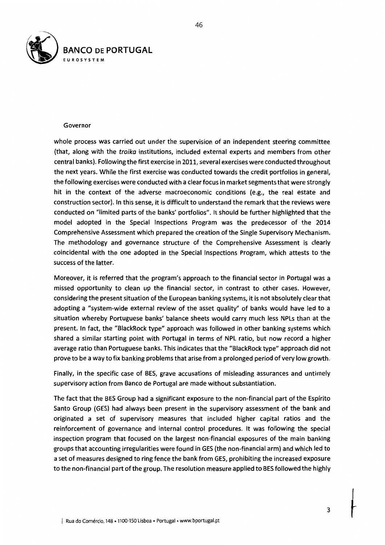

whole process was carried out under the supervision of an independent steering committee (that, along with the *troika* institutions, included external experts and members from other central banks). Following the first exercise in 2011, several exercises were conducted throughout the next years. While the first exercise was conducted towards the credit portfolios in general, the following exercises were conducted with a clear focus in market segments that were strongly hit in the context of the adverse macroeconomic conditions (e.g., the real estate and construction sector). In this sense, it is difficult to understand the remark that the reviews were conducted on "limited parts of the banks' portfolios". It should be further highlighted that the model adopted in the Special Inspections Program was the predecessor of the 2014 Comprehensive Assessment which prepared the creation of the Single Supervisory Mechanism. The methodology and governance structure of the Comprehensive Assessment is clearly coincidental with the one adopted in the Special Inspections Program, which attests to the success of the latter.

Moreover, it is referred that the program's approach to the financial sector in Portugal was a missed opportunity to clean up the financial sector, in contrast to other cases. However, considering the present situation of the European banking systems, it is not absolutely clear that adopting a "system-wide external review of the asset quality" of banks would have led to a situation whereby Portuguese banks' balance sheets would carry much less NPLs than at the present. In fact, the "BlackRock type" approach was followed in other banking systems which shared a similar starting point with Portugal in terms of NPL ratio, but now record a higher average ratio than Portuguese banks. This indicates that the "BlackRock type" approach did not prove to be a way to fix banking problems that arise from a prolonged period of very low growth.

Finally, in the specific case of BES, grave accusations of misleading assurances and untimely supervisory action from Banco de Portugal are made without substantiation.

The fact that the BES Group had a significant exposure to the non-financial part of the Espirito Santo Group (GES) had always been present in the supervisory assessment of the bank and originated a set of supervisory measures that included higher capital ratios and the reinforcement of governance and internal control procedures. It was following the special inspection program that focused on the largest non-financial exposures of the main banking groups that accounting irregularities were found in GES (the non-financial arm) and which led to a set of measures designed to ring fence the bank from GES, prohibiting the increased exposure to the non-financial part of the group. The resolution measure applied to BES followed the highly